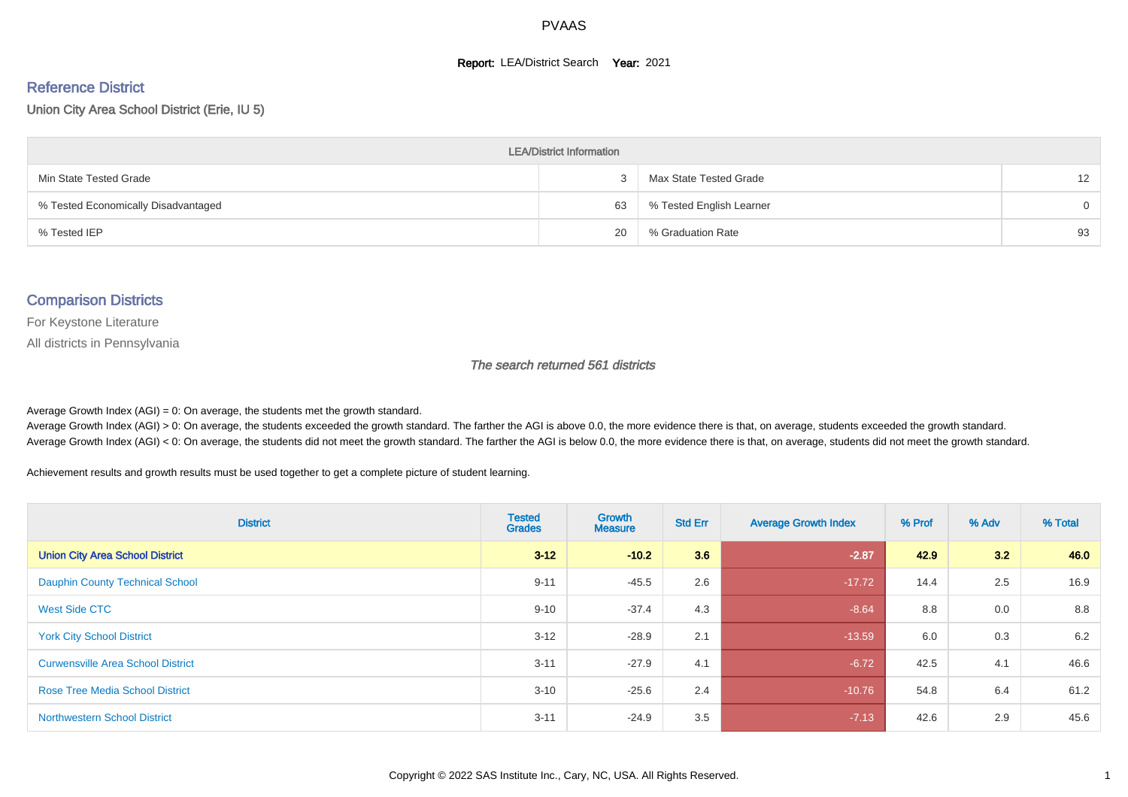#### **Report: LEA/District Search Year: 2021**

# Reference District

Union City Area School District (Erie, IU 5)

| <b>LEA/District Information</b>     |    |                          |                   |  |  |  |  |  |  |  |
|-------------------------------------|----|--------------------------|-------------------|--|--|--|--|--|--|--|
| Min State Tested Grade              |    | Max State Tested Grade   | $12 \overline{ }$ |  |  |  |  |  |  |  |
| % Tested Economically Disadvantaged | 63 | % Tested English Learner | $\Omega$          |  |  |  |  |  |  |  |
| % Tested IEP                        | 20 | % Graduation Rate        | 93                |  |  |  |  |  |  |  |

#### Comparison Districts

For Keystone Literature

All districts in Pennsylvania

The search returned 561 districts

Average Growth Index  $(AGI) = 0$ : On average, the students met the growth standard.

Average Growth Index (AGI) > 0: On average, the students exceeded the growth standard. The farther the AGI is above 0.0, the more evidence there is that, on average, students exceeded the growth standard. Average Growth Index (AGI) < 0: On average, the students did not meet the growth standard. The farther the AGI is below 0.0, the more evidence there is that, on average, students did not meet the growth standard.

Achievement results and growth results must be used together to get a complete picture of student learning.

| <b>District</b>                          | <b>Tested</b><br><b>Grades</b> | <b>Growth</b><br><b>Measure</b> | <b>Std Err</b> | <b>Average Growth Index</b> | % Prof | % Adv | % Total |
|------------------------------------------|--------------------------------|---------------------------------|----------------|-----------------------------|--------|-------|---------|
| <b>Union City Area School District</b>   | $3 - 12$                       | $-10.2$                         | 3.6            | $-2.87$                     | 42.9   | 3.2   | 46.0    |
| <b>Dauphin County Technical School</b>   | $9 - 11$                       | $-45.5$                         | 2.6            | $-17.72$                    | 14.4   | 2.5   | 16.9    |
| <b>West Side CTC</b>                     | $9 - 10$                       | $-37.4$                         | 4.3            | $-8.64$                     | 8.8    | 0.0   | 8.8     |
| <b>York City School District</b>         | $3 - 12$                       | $-28.9$                         | 2.1            | $-13.59$                    | 6.0    | 0.3   | 6.2     |
| <b>Curwensville Area School District</b> | $3 - 11$                       | $-27.9$                         | 4.1            | $-6.72$                     | 42.5   | 4.1   | 46.6    |
| <b>Rose Tree Media School District</b>   | $3 - 10$                       | $-25.6$                         | 2.4            | $-10.76$                    | 54.8   | 6.4   | 61.2    |
| <b>Northwestern School District</b>      | $3 - 11$                       | $-24.9$                         | 3.5            | $-7.13$                     | 42.6   | 2.9   | 45.6    |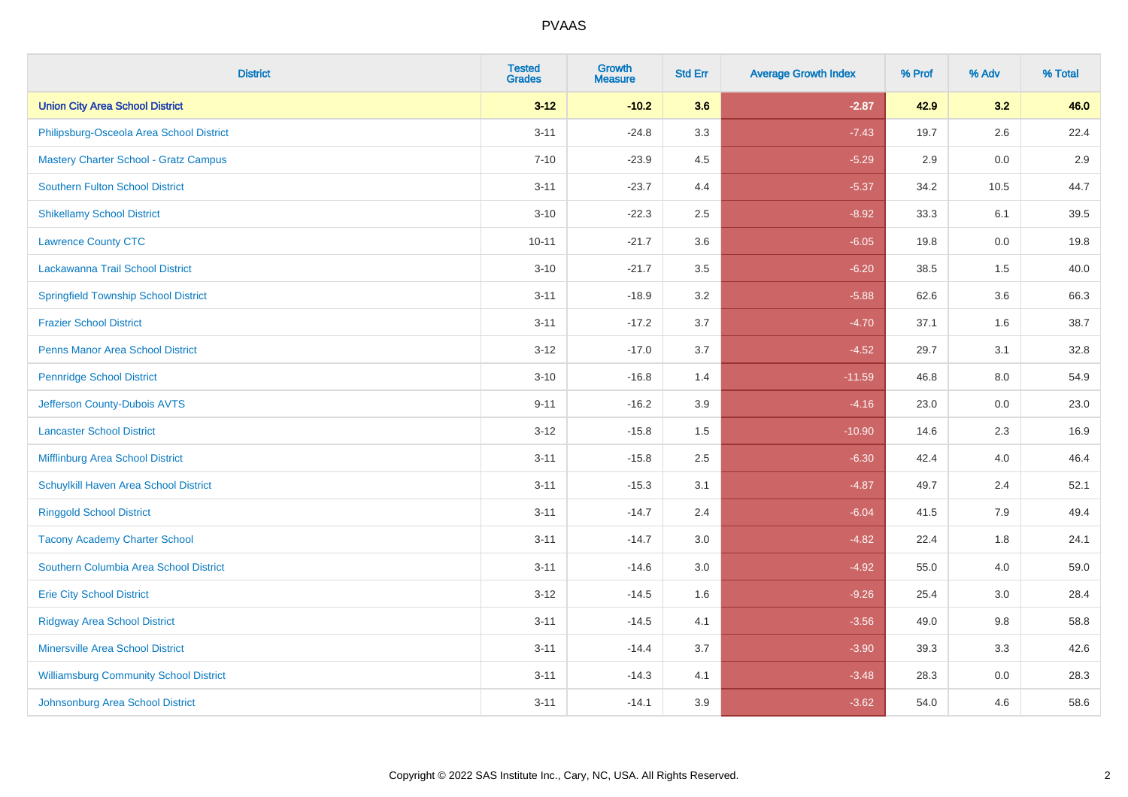| <b>District</b>                               | <b>Tested</b><br><b>Grades</b> | <b>Growth</b><br><b>Measure</b> | <b>Std Err</b> | <b>Average Growth Index</b> | % Prof | % Adv   | % Total |
|-----------------------------------------------|--------------------------------|---------------------------------|----------------|-----------------------------|--------|---------|---------|
| <b>Union City Area School District</b>        | $3 - 12$                       | $-10.2$                         | 3.6            | $-2.87$                     | 42.9   | 3.2     | 46.0    |
| Philipsburg-Osceola Area School District      | $3 - 11$                       | $-24.8$                         | 3.3            | $-7.43$                     | 19.7   | $2.6\,$ | 22.4    |
| <b>Mastery Charter School - Gratz Campus</b>  | $7 - 10$                       | $-23.9$                         | 4.5            | $-5.29$                     | 2.9    | 0.0     | 2.9     |
| <b>Southern Fulton School District</b>        | $3 - 11$                       | $-23.7$                         | 4.4            | $-5.37$                     | 34.2   | 10.5    | 44.7    |
| <b>Shikellamy School District</b>             | $3 - 10$                       | $-22.3$                         | 2.5            | $-8.92$                     | 33.3   | 6.1     | 39.5    |
| <b>Lawrence County CTC</b>                    | $10 - 11$                      | $-21.7$                         | 3.6            | $-6.05$                     | 19.8   | 0.0     | 19.8    |
| Lackawanna Trail School District              | $3 - 10$                       | $-21.7$                         | 3.5            | $-6.20$                     | 38.5   | 1.5     | 40.0    |
| <b>Springfield Township School District</b>   | $3 - 11$                       | $-18.9$                         | 3.2            | $-5.88$                     | 62.6   | 3.6     | 66.3    |
| <b>Frazier School District</b>                | $3 - 11$                       | $-17.2$                         | 3.7            | $-4.70$                     | 37.1   | 1.6     | 38.7    |
| <b>Penns Manor Area School District</b>       | $3 - 12$                       | $-17.0$                         | 3.7            | $-4.52$                     | 29.7   | 3.1     | 32.8    |
| <b>Pennridge School District</b>              | $3 - 10$                       | $-16.8$                         | 1.4            | $-11.59$                    | 46.8   | 8.0     | 54.9    |
| Jefferson County-Dubois AVTS                  | $9 - 11$                       | $-16.2$                         | 3.9            | $-4.16$                     | 23.0   | 0.0     | 23.0    |
| <b>Lancaster School District</b>              | $3 - 12$                       | $-15.8$                         | $1.5\,$        | $-10.90$                    | 14.6   | $2.3\,$ | 16.9    |
| <b>Mifflinburg Area School District</b>       | $3 - 11$                       | $-15.8$                         | 2.5            | $-6.30$                     | 42.4   | 4.0     | 46.4    |
| Schuylkill Haven Area School District         | $3 - 11$                       | $-15.3$                         | 3.1            | $-4.87$                     | 49.7   | 2.4     | 52.1    |
| <b>Ringgold School District</b>               | $3 - 11$                       | $-14.7$                         | 2.4            | $-6.04$                     | 41.5   | 7.9     | 49.4    |
| <b>Tacony Academy Charter School</b>          | $3 - 11$                       | $-14.7$                         | 3.0            | $-4.82$                     | 22.4   | 1.8     | 24.1    |
| Southern Columbia Area School District        | $3 - 11$                       | $-14.6$                         | 3.0            | $-4.92$                     | 55.0   | 4.0     | 59.0    |
| <b>Erie City School District</b>              | $3 - 12$                       | $-14.5$                         | 1.6            | $-9.26$                     | 25.4   | 3.0     | 28.4    |
| <b>Ridgway Area School District</b>           | $3 - 11$                       | $-14.5$                         | 4.1            | $-3.56$                     | 49.0   | 9.8     | 58.8    |
| <b>Minersville Area School District</b>       | $3 - 11$                       | $-14.4$                         | 3.7            | $-3.90$                     | 39.3   | 3.3     | 42.6    |
| <b>Williamsburg Community School District</b> | $3 - 11$                       | $-14.3$                         | 4.1            | $-3.48$                     | 28.3   | 0.0     | 28.3    |
| Johnsonburg Area School District              | $3 - 11$                       | $-14.1$                         | 3.9            | $-3.62$                     | 54.0   | 4.6     | 58.6    |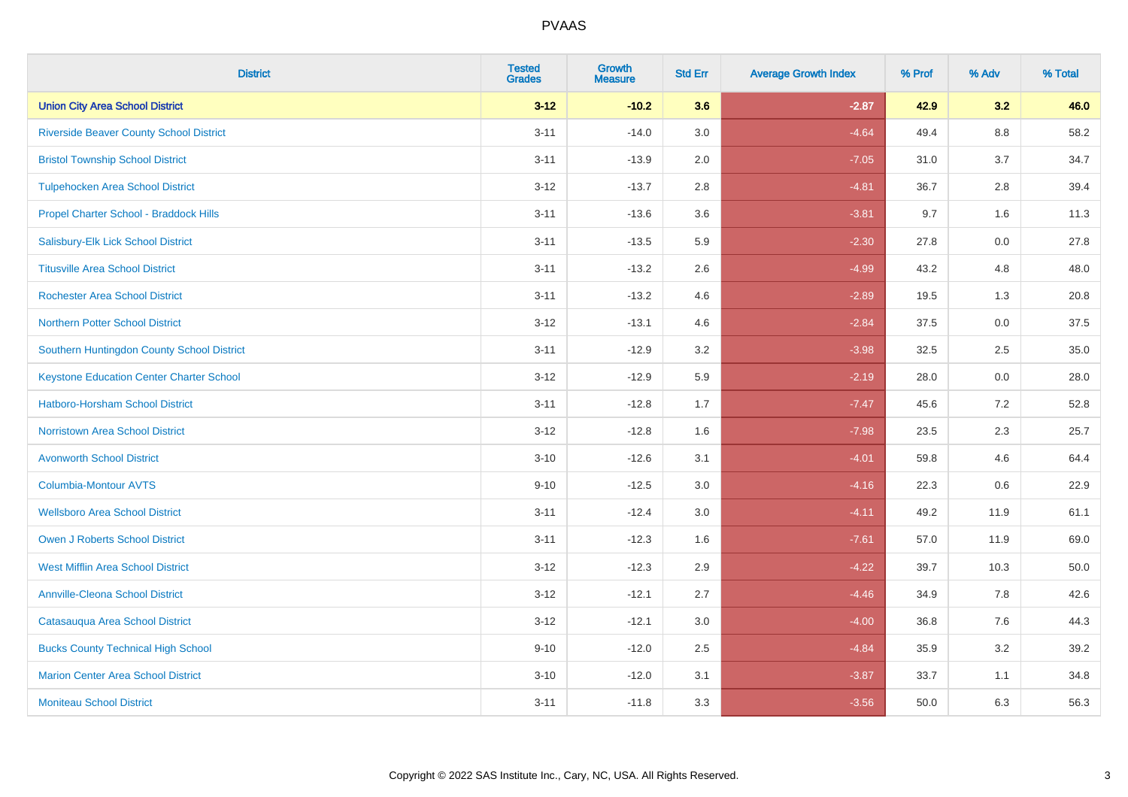| <b>District</b>                                 | <b>Tested</b><br><b>Grades</b> | <b>Growth</b><br><b>Measure</b> | <b>Std Err</b> | <b>Average Growth Index</b> | % Prof | % Adv   | % Total |
|-------------------------------------------------|--------------------------------|---------------------------------|----------------|-----------------------------|--------|---------|---------|
| <b>Union City Area School District</b>          | $3 - 12$                       | $-10.2$                         | 3.6            | $-2.87$                     | 42.9   | 3.2     | 46.0    |
| <b>Riverside Beaver County School District</b>  | $3 - 11$                       | $-14.0$                         | 3.0            | $-4.64$                     | 49.4   | $8.8\,$ | 58.2    |
| <b>Bristol Township School District</b>         | $3 - 11$                       | $-13.9$                         | 2.0            | $-7.05$                     | 31.0   | 3.7     | 34.7    |
| <b>Tulpehocken Area School District</b>         | $3 - 12$                       | $-13.7$                         | 2.8            | $-4.81$                     | 36.7   | 2.8     | 39.4    |
| Propel Charter School - Braddock Hills          | $3 - 11$                       | $-13.6$                         | 3.6            | $-3.81$                     | 9.7    | 1.6     | 11.3    |
| Salisbury-Elk Lick School District              | $3 - 11$                       | $-13.5$                         | 5.9            | $-2.30$                     | 27.8   | 0.0     | 27.8    |
| <b>Titusville Area School District</b>          | $3 - 11$                       | $-13.2$                         | 2.6            | $-4.99$                     | 43.2   | 4.8     | 48.0    |
| <b>Rochester Area School District</b>           | $3 - 11$                       | $-13.2$                         | 4.6            | $-2.89$                     | 19.5   | 1.3     | 20.8    |
| <b>Northern Potter School District</b>          | $3 - 12$                       | $-13.1$                         | 4.6            | $-2.84$                     | 37.5   | 0.0     | 37.5    |
| Southern Huntingdon County School District      | $3 - 11$                       | $-12.9$                         | 3.2            | $-3.98$                     | 32.5   | $2.5\,$ | 35.0    |
| <b>Keystone Education Center Charter School</b> | $3-12$                         | $-12.9$                         | 5.9            | $-2.19$                     | 28.0   | 0.0     | 28.0    |
| Hatboro-Horsham School District                 | $3 - 11$                       | $-12.8$                         | 1.7            | $-7.47$                     | 45.6   | 7.2     | 52.8    |
| Norristown Area School District                 | $3 - 12$                       | $-12.8$                         | 1.6            | $-7.98$                     | 23.5   | 2.3     | 25.7    |
| <b>Avonworth School District</b>                | $3 - 10$                       | $-12.6$                         | 3.1            | $-4.01$                     | 59.8   | 4.6     | 64.4    |
| <b>Columbia-Montour AVTS</b>                    | $9 - 10$                       | $-12.5$                         | 3.0            | $-4.16$                     | 22.3   | 0.6     | 22.9    |
| <b>Wellsboro Area School District</b>           | $3 - 11$                       | $-12.4$                         | 3.0            | $-4.11$                     | 49.2   | 11.9    | 61.1    |
| <b>Owen J Roberts School District</b>           | $3 - 11$                       | $-12.3$                         | 1.6            | $-7.61$                     | 57.0   | 11.9    | 69.0    |
| <b>West Mifflin Area School District</b>        | $3 - 12$                       | $-12.3$                         | 2.9            | $-4.22$                     | 39.7   | 10.3    | 50.0    |
| <b>Annville-Cleona School District</b>          | $3-12$                         | $-12.1$                         | 2.7            | $-4.46$                     | 34.9   | 7.8     | 42.6    |
| Catasauqua Area School District                 | $3 - 12$                       | $-12.1$                         | 3.0            | $-4.00$                     | 36.8   | 7.6     | 44.3    |
| <b>Bucks County Technical High School</b>       | $9 - 10$                       | $-12.0$                         | 2.5            | $-4.84$                     | 35.9   | 3.2     | 39.2    |
| <b>Marion Center Area School District</b>       | $3 - 10$                       | $-12.0$                         | 3.1            | $-3.87$                     | 33.7   | 1.1     | 34.8    |
| <b>Moniteau School District</b>                 | $3 - 11$                       | $-11.8$                         | 3.3            | $-3.56$                     | 50.0   | 6.3     | 56.3    |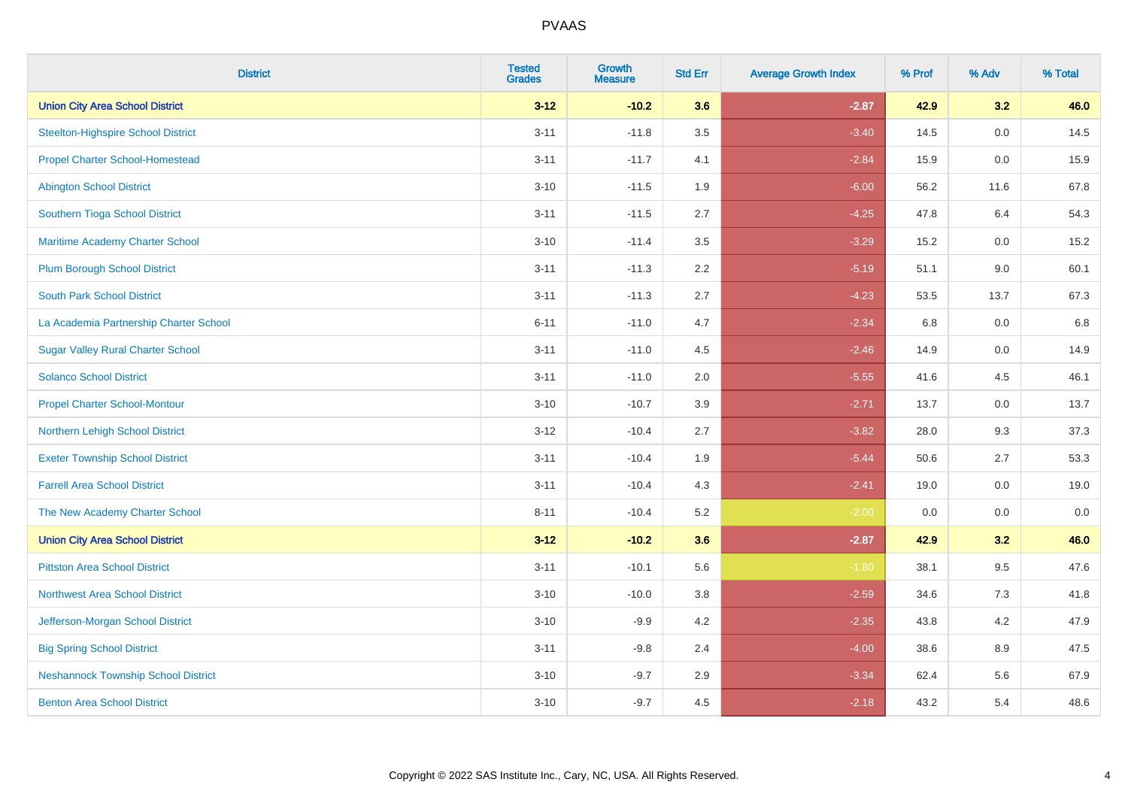| <b>District</b>                            | <b>Tested</b><br><b>Grades</b> | Growth<br><b>Measure</b> | <b>Std Err</b> | <b>Average Growth Index</b> | % Prof | % Adv   | % Total |
|--------------------------------------------|--------------------------------|--------------------------|----------------|-----------------------------|--------|---------|---------|
| <b>Union City Area School District</b>     | $3 - 12$                       | $-10.2$                  | 3.6            | $-2.87$                     | 42.9   | 3.2     | 46.0    |
| <b>Steelton-Highspire School District</b>  | $3 - 11$                       | $-11.8$                  | 3.5            | $-3.40$                     | 14.5   | $0.0\,$ | 14.5    |
| <b>Propel Charter School-Homestead</b>     | $3 - 11$                       | $-11.7$                  | 4.1            | $-2.84$                     | 15.9   | 0.0     | 15.9    |
| <b>Abington School District</b>            | $3 - 10$                       | $-11.5$                  | 1.9            | $-6.00$                     | 56.2   | 11.6    | 67.8    |
| Southern Tioga School District             | $3 - 11$                       | $-11.5$                  | 2.7            | $-4.25$                     | 47.8   | 6.4     | 54.3    |
| Maritime Academy Charter School            | $3 - 10$                       | $-11.4$                  | 3.5            | $-3.29$                     | 15.2   | 0.0     | 15.2    |
| <b>Plum Borough School District</b>        | $3 - 11$                       | $-11.3$                  | 2.2            | $-5.19$                     | 51.1   | 9.0     | 60.1    |
| <b>South Park School District</b>          | $3 - 11$                       | $-11.3$                  | 2.7            | $-4.23$                     | 53.5   | 13.7    | 67.3    |
| La Academia Partnership Charter School     | $6 - 11$                       | $-11.0$                  | 4.7            | $-2.34$                     | 6.8    | 0.0     | 6.8     |
| <b>Sugar Valley Rural Charter School</b>   | $3 - 11$                       | $-11.0$                  | 4.5            | $-2.46$                     | 14.9   | 0.0     | 14.9    |
| <b>Solanco School District</b>             | $3 - 11$                       | $-11.0$                  | 2.0            | $-5.55$                     | 41.6   | 4.5     | 46.1    |
| <b>Propel Charter School-Montour</b>       | $3 - 10$                       | $-10.7$                  | 3.9            | $-2.71$                     | 13.7   | 0.0     | 13.7    |
| Northern Lehigh School District            | $3 - 12$                       | $-10.4$                  | 2.7            | $-3.82$                     | 28.0   | 9.3     | 37.3    |
| <b>Exeter Township School District</b>     | $3 - 11$                       | $-10.4$                  | 1.9            | $-5.44$                     | 50.6   | 2.7     | 53.3    |
| <b>Farrell Area School District</b>        | $3 - 11$                       | $-10.4$                  | 4.3            | $-2.41$                     | 19.0   | 0.0     | 19.0    |
| The New Academy Charter School             | $8 - 11$                       | $-10.4$                  | 5.2            | $-2.00$                     | 0.0    | 0.0     | 0.0     |
| <b>Union City Area School District</b>     | $3 - 12$                       | $-10.2$                  | 3.6            | $-2.87$                     | 42.9   | 3.2     | 46.0    |
| <b>Pittston Area School District</b>       | $3 - 11$                       | $-10.1$                  | 5.6            | $-1.80$                     | 38.1   | 9.5     | 47.6    |
| <b>Northwest Area School District</b>      | $3 - 10$                       | $-10.0$                  | 3.8            | $-2.59$                     | 34.6   | 7.3     | 41.8    |
| Jefferson-Morgan School District           | $3 - 10$                       | $-9.9$                   | 4.2            | $-2.35$                     | 43.8   | 4.2     | 47.9    |
| <b>Big Spring School District</b>          | $3 - 11$                       | $-9.8$                   | 2.4            | $-4.00$                     | 38.6   | 8.9     | 47.5    |
| <b>Neshannock Township School District</b> | $3 - 10$                       | $-9.7$                   | 2.9            | $-3.34$                     | 62.4   | 5.6     | 67.9    |
| <b>Benton Area School District</b>         | $3 - 10$                       | $-9.7$                   | 4.5            | $-2.18$                     | 43.2   | 5.4     | 48.6    |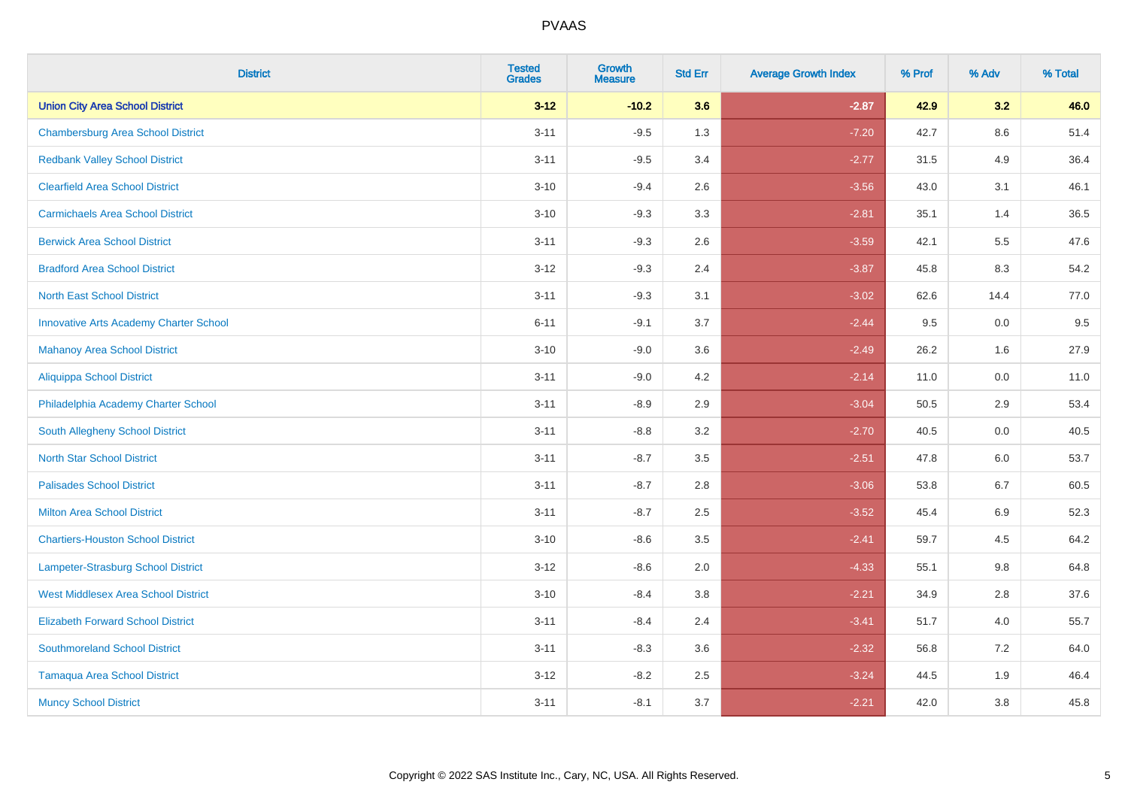| <b>District</b>                               | <b>Tested</b><br><b>Grades</b> | <b>Growth</b><br><b>Measure</b> | <b>Std Err</b> | <b>Average Growth Index</b> | % Prof | % Adv   | % Total |
|-----------------------------------------------|--------------------------------|---------------------------------|----------------|-----------------------------|--------|---------|---------|
| <b>Union City Area School District</b>        | $3 - 12$                       | $-10.2$                         | 3.6            | $-2.87$                     | 42.9   | 3.2     | 46.0    |
| <b>Chambersburg Area School District</b>      | $3 - 11$                       | $-9.5$                          | 1.3            | $-7.20$                     | 42.7   | $8.6\,$ | 51.4    |
| <b>Redbank Valley School District</b>         | $3 - 11$                       | $-9.5$                          | 3.4            | $-2.77$                     | 31.5   | 4.9     | 36.4    |
| <b>Clearfield Area School District</b>        | $3 - 10$                       | $-9.4$                          | 2.6            | $-3.56$                     | 43.0   | 3.1     | 46.1    |
| <b>Carmichaels Area School District</b>       | $3 - 10$                       | $-9.3$                          | 3.3            | $-2.81$                     | 35.1   | 1.4     | 36.5    |
| <b>Berwick Area School District</b>           | $3 - 11$                       | $-9.3$                          | 2.6            | $-3.59$                     | 42.1   | 5.5     | 47.6    |
| <b>Bradford Area School District</b>          | $3 - 12$                       | $-9.3$                          | 2.4            | $-3.87$                     | 45.8   | 8.3     | 54.2    |
| <b>North East School District</b>             | $3 - 11$                       | $-9.3$                          | 3.1            | $-3.02$                     | 62.6   | 14.4    | 77.0    |
| <b>Innovative Arts Academy Charter School</b> | $6 - 11$                       | $-9.1$                          | 3.7            | $-2.44$                     | 9.5    | $0.0\,$ | 9.5     |
| <b>Mahanoy Area School District</b>           | $3 - 10$                       | $-9.0$                          | 3.6            | $-2.49$                     | 26.2   | 1.6     | 27.9    |
| <b>Aliquippa School District</b>              | $3 - 11$                       | $-9.0$                          | 4.2            | $-2.14$                     | 11.0   | 0.0     | 11.0    |
| Philadelphia Academy Charter School           | $3 - 11$                       | $-8.9$                          | 2.9            | $-3.04$                     | 50.5   | 2.9     | 53.4    |
| South Allegheny School District               | $3 - 11$                       | $-8.8$                          | 3.2            | $-2.70$                     | 40.5   | 0.0     | 40.5    |
| <b>North Star School District</b>             | $3 - 11$                       | $-8.7$                          | 3.5            | $-2.51$                     | 47.8   | 6.0     | 53.7    |
| <b>Palisades School District</b>              | $3 - 11$                       | $-8.7$                          | 2.8            | $-3.06$                     | 53.8   | $6.7\,$ | 60.5    |
| Milton Area School District                   | $3 - 11$                       | $-8.7$                          | 2.5            | $-3.52$                     | 45.4   | 6.9     | 52.3    |
| <b>Chartiers-Houston School District</b>      | $3 - 10$                       | $-8.6$                          | 3.5            | $-2.41$                     | 59.7   | 4.5     | 64.2    |
| Lampeter-Strasburg School District            | $3 - 12$                       | $-8.6$                          | 2.0            | $-4.33$                     | 55.1   | 9.8     | 64.8    |
| <b>West Middlesex Area School District</b>    | $3 - 10$                       | $-8.4$                          | $3.8\,$        | $-2.21$                     | 34.9   | 2.8     | 37.6    |
| <b>Elizabeth Forward School District</b>      | $3 - 11$                       | $-8.4$                          | 2.4            | $-3.41$                     | 51.7   | 4.0     | 55.7    |
| <b>Southmoreland School District</b>          | $3 - 11$                       | $-8.3$                          | 3.6            | $-2.32$                     | 56.8   | 7.2     | 64.0    |
| <b>Tamaqua Area School District</b>           | $3 - 12$                       | $-8.2$                          | 2.5            | $-3.24$                     | 44.5   | 1.9     | 46.4    |
| <b>Muncy School District</b>                  | $3 - 11$                       | $-8.1$                          | 3.7            | $-2.21$                     | 42.0   | 3.8     | 45.8    |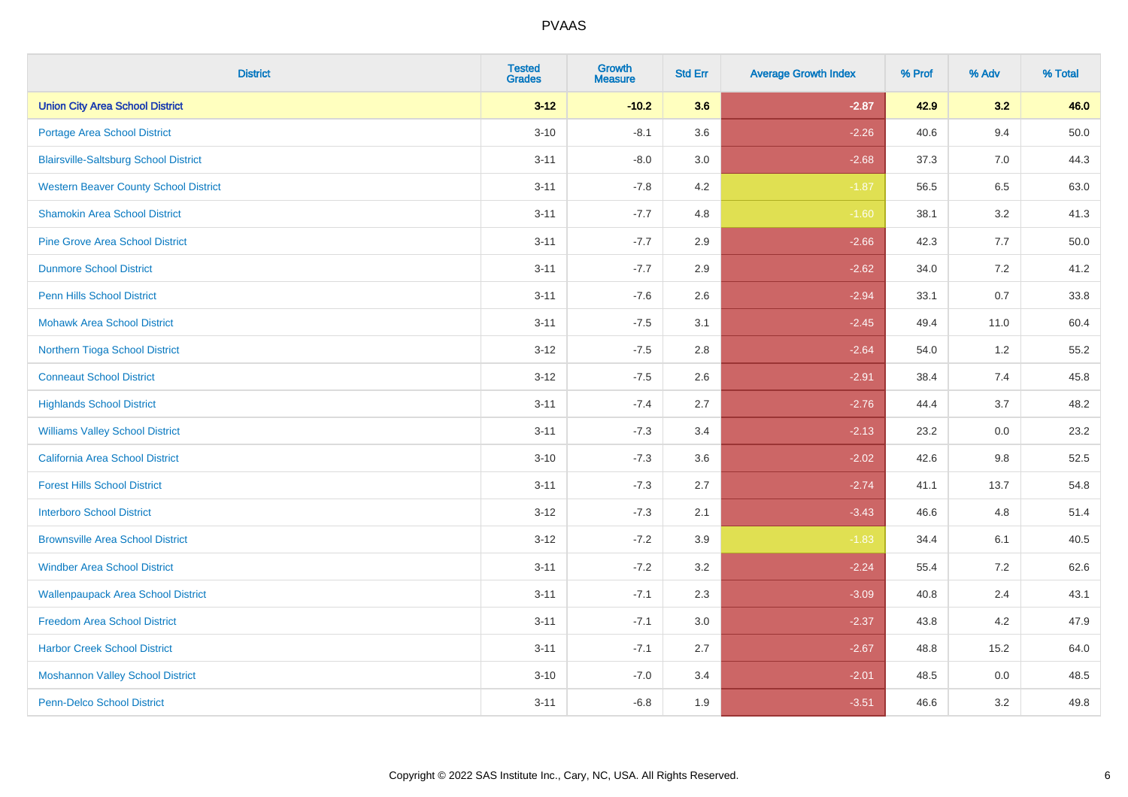| <b>District</b>                              | <b>Tested</b><br><b>Grades</b> | <b>Growth</b><br><b>Measure</b> | <b>Std Err</b> | <b>Average Growth Index</b> | % Prof | % Adv   | % Total  |
|----------------------------------------------|--------------------------------|---------------------------------|----------------|-----------------------------|--------|---------|----------|
| <b>Union City Area School District</b>       | $3 - 12$                       | $-10.2$                         | 3.6            | $-2.87$                     | 42.9   | 3.2     | 46.0     |
| Portage Area School District                 | $3 - 10$                       | $-8.1$                          | 3.6            | $-2.26$                     | 40.6   | 9.4     | $50.0\,$ |
| <b>Blairsville-Saltsburg School District</b> | $3 - 11$                       | $-8.0$                          | 3.0            | $-2.68$                     | 37.3   | 7.0     | 44.3     |
| <b>Western Beaver County School District</b> | $3 - 11$                       | $-7.8$                          | 4.2            | $-1.87$                     | 56.5   | 6.5     | 63.0     |
| <b>Shamokin Area School District</b>         | $3 - 11$                       | $-7.7$                          | 4.8            | $-1.60$                     | 38.1   | 3.2     | 41.3     |
| <b>Pine Grove Area School District</b>       | $3 - 11$                       | $-7.7$                          | 2.9            | $-2.66$                     | 42.3   | 7.7     | 50.0     |
| <b>Dunmore School District</b>               | $3 - 11$                       | $-7.7$                          | 2.9            | $-2.62$                     | 34.0   | 7.2     | 41.2     |
| <b>Penn Hills School District</b>            | $3 - 11$                       | $-7.6$                          | 2.6            | $-2.94$                     | 33.1   | 0.7     | 33.8     |
| <b>Mohawk Area School District</b>           | $3 - 11$                       | $-7.5$                          | 3.1            | $-2.45$                     | 49.4   | 11.0    | 60.4     |
| Northern Tioga School District               | $3 - 12$                       | $-7.5$                          | 2.8            | $-2.64$                     | 54.0   | 1.2     | 55.2     |
| <b>Conneaut School District</b>              | $3 - 12$                       | $-7.5$                          | 2.6            | $-2.91$                     | 38.4   | 7.4     | 45.8     |
| <b>Highlands School District</b>             | $3 - 11$                       | $-7.4$                          | 2.7            | $-2.76$                     | 44.4   | 3.7     | 48.2     |
| <b>Williams Valley School District</b>       | $3 - 11$                       | $-7.3$                          | 3.4            | $-2.13$                     | 23.2   | 0.0     | 23.2     |
| <b>California Area School District</b>       | $3 - 10$                       | $-7.3$                          | 3.6            | $-2.02$                     | 42.6   | 9.8     | 52.5     |
| <b>Forest Hills School District</b>          | $3 - 11$                       | $-7.3$                          | 2.7            | $-2.74$                     | 41.1   | 13.7    | 54.8     |
| <b>Interboro School District</b>             | $3 - 12$                       | $-7.3$                          | 2.1            | $-3.43$                     | 46.6   | 4.8     | 51.4     |
| <b>Brownsville Area School District</b>      | $3 - 12$                       | $-7.2$                          | 3.9            | $-1.83$                     | 34.4   | 6.1     | 40.5     |
| <b>Windber Area School District</b>          | $3 - 11$                       | $-7.2$                          | 3.2            | $-2.24$                     | 55.4   | 7.2     | 62.6     |
| <b>Wallenpaupack Area School District</b>    | $3 - 11$                       | $-7.1$                          | 2.3            | $-3.09$                     | 40.8   | 2.4     | 43.1     |
| <b>Freedom Area School District</b>          | $3 - 11$                       | $-7.1$                          | 3.0            | $-2.37$                     | 43.8   | 4.2     | 47.9     |
| <b>Harbor Creek School District</b>          | $3 - 11$                       | $-7.1$                          | 2.7            | $-2.67$                     | 48.8   | 15.2    | 64.0     |
| <b>Moshannon Valley School District</b>      | $3 - 10$                       | $-7.0$                          | 3.4            | $-2.01$                     | 48.5   | $0.0\,$ | 48.5     |
| <b>Penn-Delco School District</b>            | $3 - 11$                       | $-6.8$                          | 1.9            | $-3.51$                     | 46.6   | 3.2     | 49.8     |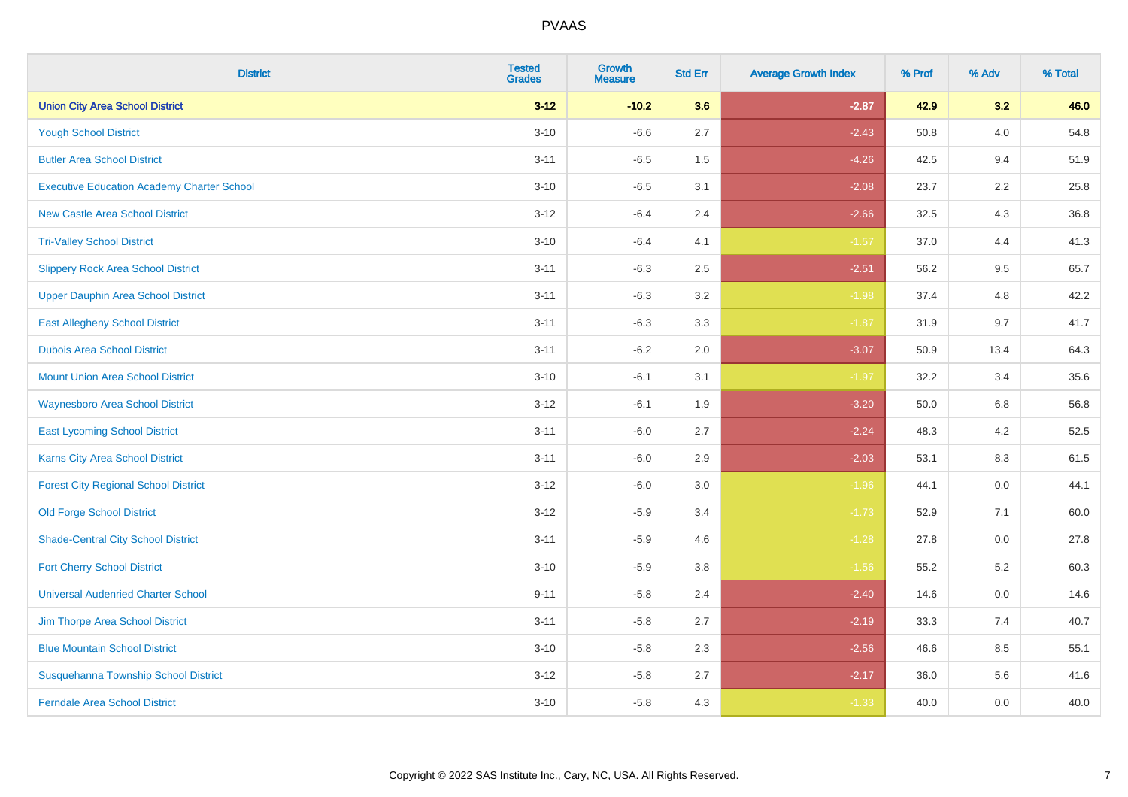| <b>District</b>                                   | <b>Tested</b><br><b>Grades</b> | <b>Growth</b><br><b>Measure</b> | <b>Std Err</b> | <b>Average Growth Index</b> | % Prof | % Adv   | % Total |
|---------------------------------------------------|--------------------------------|---------------------------------|----------------|-----------------------------|--------|---------|---------|
| <b>Union City Area School District</b>            | $3 - 12$                       | $-10.2$                         | 3.6            | $-2.87$                     | 42.9   | 3.2     | 46.0    |
| <b>Yough School District</b>                      | $3 - 10$                       | $-6.6$                          | 2.7            | $-2.43$                     | 50.8   | 4.0     | 54.8    |
| <b>Butler Area School District</b>                | $3 - 11$                       | $-6.5$                          | 1.5            | $-4.26$                     | 42.5   | 9.4     | 51.9    |
| <b>Executive Education Academy Charter School</b> | $3 - 10$                       | $-6.5$                          | 3.1            | $-2.08$                     | 23.7   | 2.2     | 25.8    |
| <b>New Castle Area School District</b>            | $3 - 12$                       | $-6.4$                          | 2.4            | $-2.66$                     | 32.5   | 4.3     | 36.8    |
| <b>Tri-Valley School District</b>                 | $3 - 10$                       | $-6.4$                          | 4.1            | $-1.57$                     | 37.0   | 4.4     | 41.3    |
| <b>Slippery Rock Area School District</b>         | $3 - 11$                       | $-6.3$                          | 2.5            | $-2.51$                     | 56.2   | 9.5     | 65.7    |
| <b>Upper Dauphin Area School District</b>         | $3 - 11$                       | $-6.3$                          | 3.2            | $-1.98$                     | 37.4   | 4.8     | 42.2    |
| <b>East Allegheny School District</b>             | $3 - 11$                       | $-6.3$                          | 3.3            | $-1.87$                     | 31.9   | 9.7     | 41.7    |
| <b>Dubois Area School District</b>                | $3 - 11$                       | $-6.2$                          | 2.0            | $-3.07$                     | 50.9   | 13.4    | 64.3    |
| <b>Mount Union Area School District</b>           | $3 - 10$                       | $-6.1$                          | 3.1            | $-1.97$                     | 32.2   | 3.4     | 35.6    |
| <b>Waynesboro Area School District</b>            | $3 - 12$                       | $-6.1$                          | 1.9            | $-3.20$                     | 50.0   | 6.8     | 56.8    |
| <b>East Lycoming School District</b>              | $3 - 11$                       | $-6.0$                          | 2.7            | $-2.24$                     | 48.3   | $4.2\,$ | 52.5    |
| <b>Karns City Area School District</b>            | $3 - 11$                       | $-6.0$                          | 2.9            | $-2.03$                     | 53.1   | 8.3     | 61.5    |
| <b>Forest City Regional School District</b>       | $3 - 12$                       | $-6.0$                          | 3.0            | $-1.96$                     | 44.1   | $0.0\,$ | 44.1    |
| <b>Old Forge School District</b>                  | $3 - 12$                       | $-5.9$                          | 3.4            | $-1.73$                     | 52.9   | 7.1     | 60.0    |
| <b>Shade-Central City School District</b>         | $3 - 11$                       | $-5.9$                          | 4.6            | $-1.28$                     | 27.8   | 0.0     | 27.8    |
| <b>Fort Cherry School District</b>                | $3 - 10$                       | $-5.9$                          | 3.8            | $-1.56$                     | 55.2   | 5.2     | 60.3    |
| <b>Universal Audenried Charter School</b>         | $9 - 11$                       | $-5.8$                          | 2.4            | $-2.40$                     | 14.6   | $0.0\,$ | 14.6    |
| Jim Thorpe Area School District                   | $3 - 11$                       | $-5.8$                          | 2.7            | $-2.19$                     | 33.3   | 7.4     | 40.7    |
| <b>Blue Mountain School District</b>              | $3 - 10$                       | $-5.8$                          | 2.3            | $-2.56$                     | 46.6   | 8.5     | 55.1    |
| Susquehanna Township School District              | $3 - 12$                       | $-5.8$                          | 2.7            | $-2.17$                     | 36.0   | 5.6     | 41.6    |
| <b>Ferndale Area School District</b>              | $3 - 10$                       | $-5.8$                          | 4.3            | $-1.33$                     | 40.0   | 0.0     | 40.0    |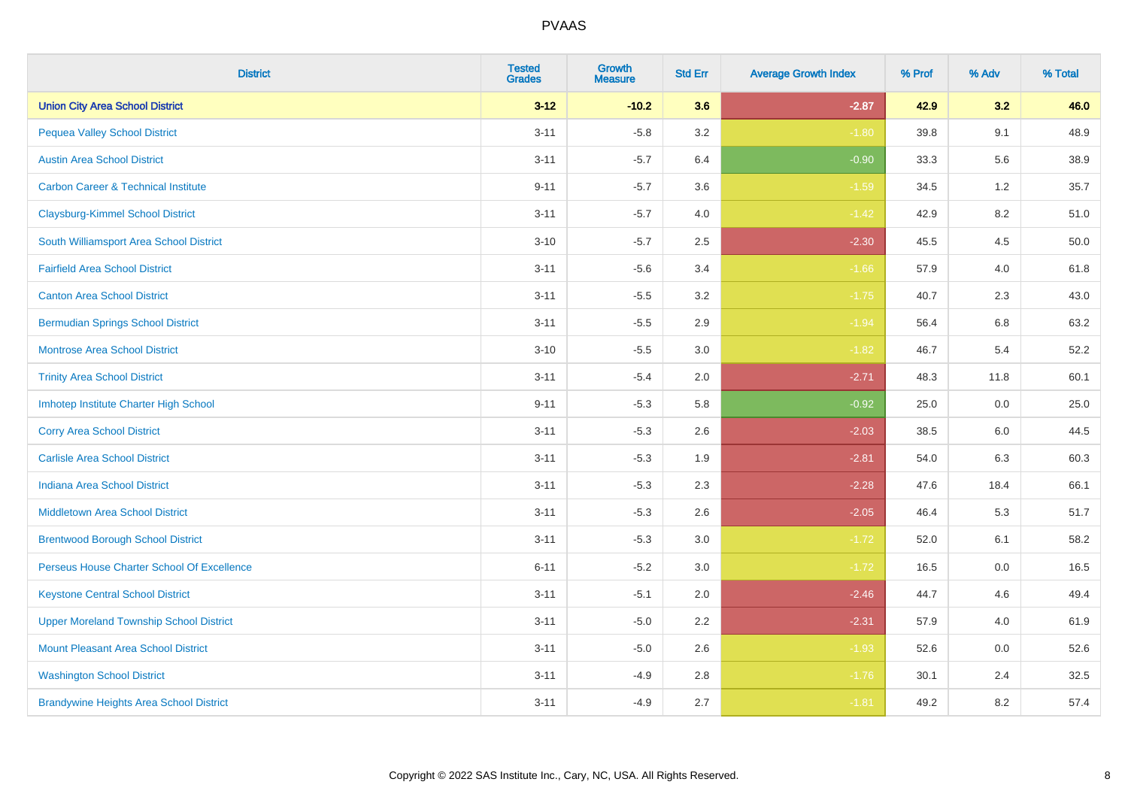| <b>District</b>                                | <b>Tested</b><br><b>Grades</b> | <b>Growth</b><br><b>Measure</b> | <b>Std Err</b> | <b>Average Growth Index</b> | % Prof | % Adv   | % Total |
|------------------------------------------------|--------------------------------|---------------------------------|----------------|-----------------------------|--------|---------|---------|
| <b>Union City Area School District</b>         | $3 - 12$                       | $-10.2$                         | 3.6            | $-2.87$                     | 42.9   | 3.2     | 46.0    |
| <b>Pequea Valley School District</b>           | $3 - 11$                       | $-5.8$                          | 3.2            | $-1.80$                     | 39.8   | 9.1     | 48.9    |
| <b>Austin Area School District</b>             | $3 - 11$                       | $-5.7$                          | 6.4            | $-0.90$                     | 33.3   | 5.6     | 38.9    |
| <b>Carbon Career &amp; Technical Institute</b> | $9 - 11$                       | $-5.7$                          | 3.6            | $-1.59$                     | 34.5   | $1.2\,$ | 35.7    |
| <b>Claysburg-Kimmel School District</b>        | $3 - 11$                       | $-5.7$                          | 4.0            | $-1.42$                     | 42.9   | 8.2     | 51.0    |
| South Williamsport Area School District        | $3 - 10$                       | $-5.7$                          | 2.5            | $-2.30$                     | 45.5   | 4.5     | 50.0    |
| <b>Fairfield Area School District</b>          | $3 - 11$                       | $-5.6$                          | 3.4            | $-1.66$                     | 57.9   | 4.0     | 61.8    |
| <b>Canton Area School District</b>             | $3 - 11$                       | $-5.5$                          | 3.2            | $-1.75$                     | 40.7   | 2.3     | 43.0    |
| <b>Bermudian Springs School District</b>       | $3 - 11$                       | $-5.5$                          | 2.9            | $-1.94$                     | 56.4   | 6.8     | 63.2    |
| <b>Montrose Area School District</b>           | $3 - 10$                       | $-5.5$                          | 3.0            | $-1.82$                     | 46.7   | 5.4     | 52.2    |
| <b>Trinity Area School District</b>            | $3 - 11$                       | $-5.4$                          | 2.0            | $-2.71$                     | 48.3   | 11.8    | 60.1    |
| Imhotep Institute Charter High School          | $9 - 11$                       | $-5.3$                          | 5.8            | $-0.92$                     | 25.0   | 0.0     | 25.0    |
| <b>Corry Area School District</b>              | $3 - 11$                       | $-5.3$                          | 2.6            | $-2.03$                     | 38.5   | 6.0     | 44.5    |
| <b>Carlisle Area School District</b>           | $3 - 11$                       | $-5.3$                          | 1.9            | $-2.81$                     | 54.0   | 6.3     | 60.3    |
| <b>Indiana Area School District</b>            | $3 - 11$                       | $-5.3$                          | 2.3            | $-2.28$                     | 47.6   | 18.4    | 66.1    |
| <b>Middletown Area School District</b>         | $3 - 11$                       | $-5.3$                          | 2.6            | $-2.05$                     | 46.4   | 5.3     | 51.7    |
| <b>Brentwood Borough School District</b>       | $3 - 11$                       | $-5.3$                          | 3.0            | $-1.72$                     | 52.0   | 6.1     | 58.2    |
| Perseus House Charter School Of Excellence     | $6 - 11$                       | $-5.2$                          | 3.0            | $-1.72$                     | 16.5   | 0.0     | 16.5    |
| <b>Keystone Central School District</b>        | $3 - 11$                       | $-5.1$                          | 2.0            | $-2.46$                     | 44.7   | 4.6     | 49.4    |
| <b>Upper Moreland Township School District</b> | $3 - 11$                       | $-5.0$                          | 2.2            | $-2.31$                     | 57.9   | 4.0     | 61.9    |
| <b>Mount Pleasant Area School District</b>     | $3 - 11$                       | $-5.0$                          | 2.6            | $-1.93$                     | 52.6   | 0.0     | 52.6    |
| <b>Washington School District</b>              | $3 - 11$                       | $-4.9$                          | 2.8            | $-1.76$                     | 30.1   | 2.4     | 32.5    |
| <b>Brandywine Heights Area School District</b> | $3 - 11$                       | $-4.9$                          | 2.7            | $-1.81$                     | 49.2   | 8.2     | 57.4    |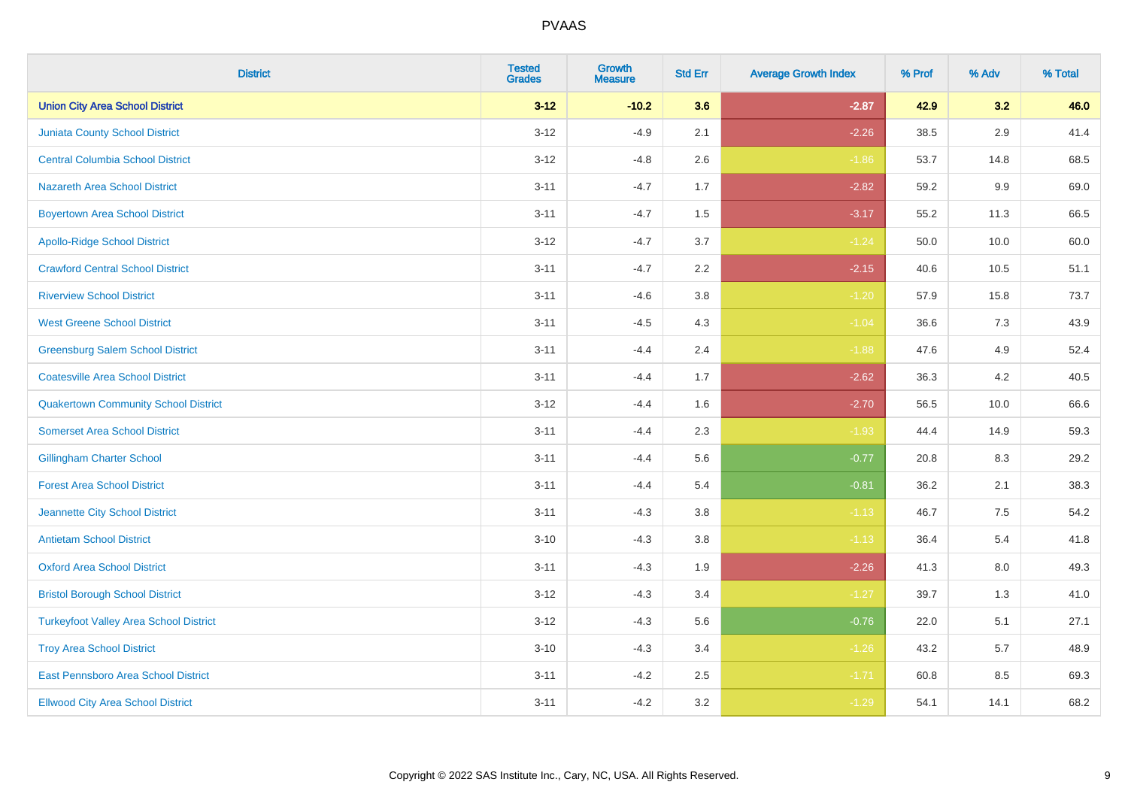| <b>District</b>                               | <b>Tested</b><br><b>Grades</b> | <b>Growth</b><br><b>Measure</b> | <b>Std Err</b> | <b>Average Growth Index</b> | % Prof | % Adv   | % Total |
|-----------------------------------------------|--------------------------------|---------------------------------|----------------|-----------------------------|--------|---------|---------|
| <b>Union City Area School District</b>        | $3 - 12$                       | $-10.2$                         | 3.6            | $-2.87$                     | 42.9   | 3.2     | 46.0    |
| <b>Juniata County School District</b>         | $3 - 12$                       | $-4.9$                          | 2.1            | $-2.26$                     | 38.5   | $2.9\,$ | 41.4    |
| <b>Central Columbia School District</b>       | $3 - 12$                       | $-4.8$                          | 2.6            | $-1.86$                     | 53.7   | 14.8    | 68.5    |
| <b>Nazareth Area School District</b>          | $3 - 11$                       | $-4.7$                          | 1.7            | $-2.82$                     | 59.2   | 9.9     | 69.0    |
| <b>Boyertown Area School District</b>         | $3 - 11$                       | $-4.7$                          | 1.5            | $-3.17$                     | 55.2   | 11.3    | 66.5    |
| <b>Apollo-Ridge School District</b>           | $3 - 12$                       | $-4.7$                          | 3.7            | $-1.24$                     | 50.0   | 10.0    | 60.0    |
| <b>Crawford Central School District</b>       | $3 - 11$                       | $-4.7$                          | 2.2            | $-2.15$                     | 40.6   | 10.5    | 51.1    |
| <b>Riverview School District</b>              | $3 - 11$                       | $-4.6$                          | 3.8            | $-1.20$                     | 57.9   | 15.8    | 73.7    |
| <b>West Greene School District</b>            | $3 - 11$                       | $-4.5$                          | 4.3            | $-1.04$                     | 36.6   | 7.3     | 43.9    |
| <b>Greensburg Salem School District</b>       | $3 - 11$                       | $-4.4$                          | 2.4            | $-1.88$                     | 47.6   | 4.9     | 52.4    |
| <b>Coatesville Area School District</b>       | $3 - 11$                       | $-4.4$                          | 1.7            | $-2.62$                     | 36.3   | 4.2     | 40.5    |
| <b>Quakertown Community School District</b>   | $3 - 12$                       | $-4.4$                          | 1.6            | $-2.70$                     | 56.5   | 10.0    | 66.6    |
| <b>Somerset Area School District</b>          | $3 - 11$                       | $-4.4$                          | 2.3            | $-1.93$                     | 44.4   | 14.9    | 59.3    |
| <b>Gillingham Charter School</b>              | $3 - 11$                       | $-4.4$                          | 5.6            | $-0.77$                     | 20.8   | 8.3     | 29.2    |
| <b>Forest Area School District</b>            | $3 - 11$                       | $-4.4$                          | 5.4            | $-0.81$                     | 36.2   | 2.1     | 38.3    |
| Jeannette City School District                | $3 - 11$                       | $-4.3$                          | $3.8\,$        | $-1.13$                     | 46.7   | $7.5\,$ | 54.2    |
| <b>Antietam School District</b>               | $3 - 10$                       | $-4.3$                          | 3.8            | $-1.13$                     | 36.4   | 5.4     | 41.8    |
| <b>Oxford Area School District</b>            | $3 - 11$                       | $-4.3$                          | 1.9            | $-2.26$                     | 41.3   | 8.0     | 49.3    |
| <b>Bristol Borough School District</b>        | $3 - 12$                       | $-4.3$                          | 3.4            | $-1.27$                     | 39.7   | 1.3     | 41.0    |
| <b>Turkeyfoot Valley Area School District</b> | $3 - 12$                       | $-4.3$                          | 5.6            | $-0.76$                     | 22.0   | 5.1     | 27.1    |
| <b>Troy Area School District</b>              | $3 - 10$                       | $-4.3$                          | 3.4            | $-1.26$                     | 43.2   | 5.7     | 48.9    |
| East Pennsboro Area School District           | $3 - 11$                       | $-4.2$                          | 2.5            | $-1.71$                     | 60.8   | 8.5     | 69.3    |
| <b>Ellwood City Area School District</b>      | $3 - 11$                       | $-4.2$                          | 3.2            | $-1.29$                     | 54.1   | 14.1    | 68.2    |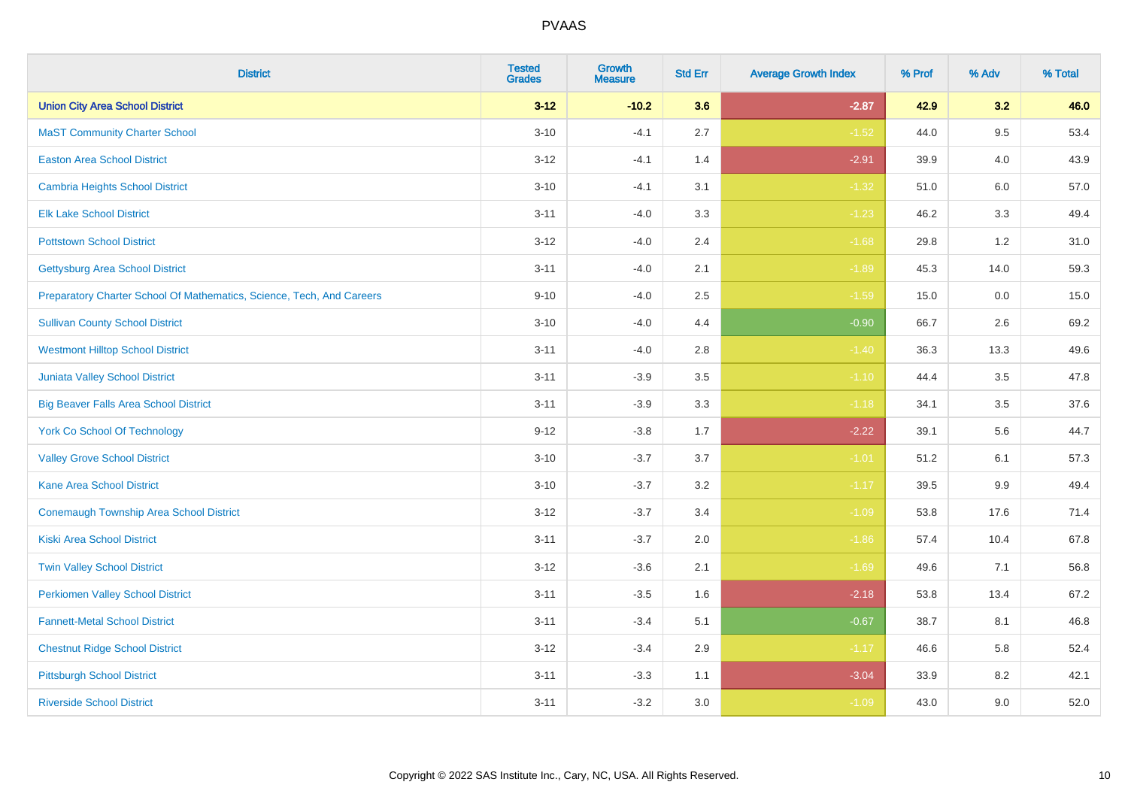| <b>District</b>                                                       | <b>Tested</b><br><b>Grades</b> | <b>Growth</b><br><b>Measure</b> | <b>Std Err</b> | <b>Average Growth Index</b> | % Prof | % Adv   | % Total |
|-----------------------------------------------------------------------|--------------------------------|---------------------------------|----------------|-----------------------------|--------|---------|---------|
| <b>Union City Area School District</b>                                | $3 - 12$                       | $-10.2$                         | 3.6            | $-2.87$                     | 42.9   | 3.2     | 46.0    |
| <b>MaST Community Charter School</b>                                  | $3 - 10$                       | $-4.1$                          | 2.7            | $-1.52$                     | 44.0   | 9.5     | 53.4    |
| <b>Easton Area School District</b>                                    | $3 - 12$                       | $-4.1$                          | 1.4            | $-2.91$                     | 39.9   | 4.0     | 43.9    |
| <b>Cambria Heights School District</b>                                | $3 - 10$                       | $-4.1$                          | 3.1            | $-1.32$                     | 51.0   | $6.0\,$ | 57.0    |
| <b>Elk Lake School District</b>                                       | $3 - 11$                       | $-4.0$                          | 3.3            | $-1.23$                     | 46.2   | 3.3     | 49.4    |
| <b>Pottstown School District</b>                                      | $3 - 12$                       | $-4.0$                          | 2.4            | $-1.68$                     | 29.8   | 1.2     | 31.0    |
| <b>Gettysburg Area School District</b>                                | $3 - 11$                       | $-4.0$                          | 2.1            | $-1.89$                     | 45.3   | 14.0    | 59.3    |
| Preparatory Charter School Of Mathematics, Science, Tech, And Careers | $9 - 10$                       | $-4.0$                          | 2.5            | $-1.59$                     | 15.0   | 0.0     | 15.0    |
| <b>Sullivan County School District</b>                                | $3 - 10$                       | $-4.0$                          | 4.4            | $-0.90$                     | 66.7   | 2.6     | 69.2    |
| <b>Westmont Hilltop School District</b>                               | $3 - 11$                       | $-4.0$                          | 2.8            | $-1.40$                     | 36.3   | 13.3    | 49.6    |
| <b>Juniata Valley School District</b>                                 | $3 - 11$                       | $-3.9$                          | 3.5            | $-1.10$                     | 44.4   | 3.5     | 47.8    |
| <b>Big Beaver Falls Area School District</b>                          | $3 - 11$                       | $-3.9$                          | 3.3            | $-1.18$                     | 34.1   | 3.5     | 37.6    |
| <b>York Co School Of Technology</b>                                   | $9 - 12$                       | $-3.8$                          | 1.7            | $-2.22$                     | 39.1   | 5.6     | 44.7    |
| <b>Valley Grove School District</b>                                   | $3 - 10$                       | $-3.7$                          | 3.7            | $-1.01$                     | 51.2   | 6.1     | 57.3    |
| <b>Kane Area School District</b>                                      | $3 - 10$                       | $-3.7$                          | 3.2            | $-1.17$                     | 39.5   | 9.9     | 49.4    |
| <b>Conemaugh Township Area School District</b>                        | $3 - 12$                       | $-3.7$                          | 3.4            | $-1.09$                     | 53.8   | 17.6    | 71.4    |
| <b>Kiski Area School District</b>                                     | $3 - 11$                       | $-3.7$                          | 2.0            | $-1.86$                     | 57.4   | 10.4    | 67.8    |
| <b>Twin Valley School District</b>                                    | $3 - 12$                       | $-3.6$                          | 2.1            | $-1.69$                     | 49.6   | 7.1     | 56.8    |
| <b>Perkiomen Valley School District</b>                               | $3 - 11$                       | $-3.5$                          | 1.6            | $-2.18$                     | 53.8   | 13.4    | 67.2    |
| <b>Fannett-Metal School District</b>                                  | $3 - 11$                       | $-3.4$                          | 5.1            | $-0.67$                     | 38.7   | 8.1     | 46.8    |
| <b>Chestnut Ridge School District</b>                                 | $3 - 12$                       | $-3.4$                          | 2.9            | $-1.17$                     | 46.6   | 5.8     | 52.4    |
| <b>Pittsburgh School District</b>                                     | $3 - 11$                       | $-3.3$                          | 1.1            | $-3.04$                     | 33.9   | 8.2     | 42.1    |
| <b>Riverside School District</b>                                      | $3 - 11$                       | $-3.2$                          | 3.0            | $-1.09$                     | 43.0   | 9.0     | 52.0    |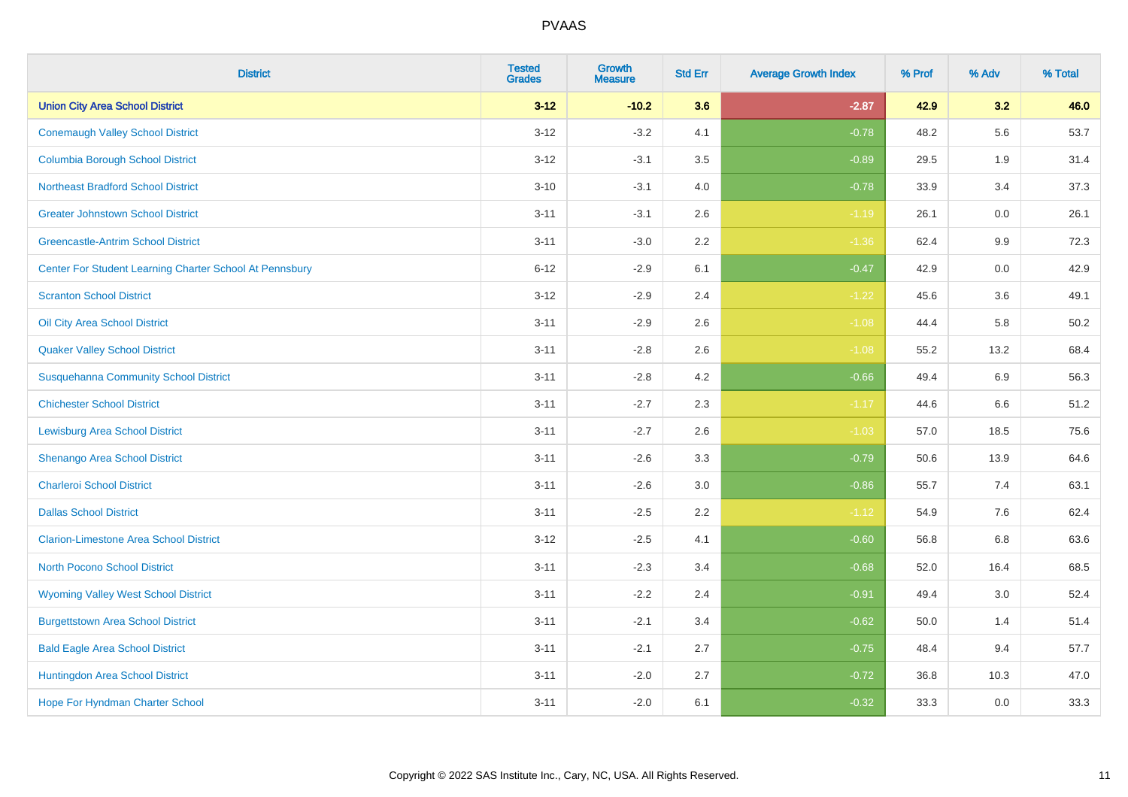| <b>District</b>                                         | <b>Tested</b><br><b>Grades</b> | Growth<br><b>Measure</b> | <b>Std Err</b> | <b>Average Growth Index</b> | % Prof | % Adv   | % Total |
|---------------------------------------------------------|--------------------------------|--------------------------|----------------|-----------------------------|--------|---------|---------|
| <b>Union City Area School District</b>                  | $3 - 12$                       | $-10.2$                  | 3.6            | $-2.87$                     | 42.9   | 3.2     | 46.0    |
| <b>Conemaugh Valley School District</b>                 | $3 - 12$                       | $-3.2$                   | 4.1            | $-0.78$                     | 48.2   | 5.6     | 53.7    |
| <b>Columbia Borough School District</b>                 | $3 - 12$                       | $-3.1$                   | 3.5            | $-0.89$                     | 29.5   | 1.9     | 31.4    |
| <b>Northeast Bradford School District</b>               | $3 - 10$                       | $-3.1$                   | 4.0            | $-0.78$                     | 33.9   | 3.4     | 37.3    |
| <b>Greater Johnstown School District</b>                | $3 - 11$                       | $-3.1$                   | 2.6            | $-1.19$                     | 26.1   | 0.0     | 26.1    |
| <b>Greencastle-Antrim School District</b>               | $3 - 11$                       | $-3.0$                   | 2.2            | $-1.36$                     | 62.4   | $9.9\,$ | 72.3    |
| Center For Student Learning Charter School At Pennsbury | $6 - 12$                       | $-2.9$                   | 6.1            | $-0.47$                     | 42.9   | $0.0\,$ | 42.9    |
| <b>Scranton School District</b>                         | $3 - 12$                       | $-2.9$                   | 2.4            | $-1.22$                     | 45.6   | 3.6     | 49.1    |
| Oil City Area School District                           | $3 - 11$                       | $-2.9$                   | 2.6            | $-1.08$                     | 44.4   | 5.8     | 50.2    |
| <b>Quaker Valley School District</b>                    | $3 - 11$                       | $-2.8$                   | $2.6\,$        | $-1.08$                     | 55.2   | 13.2    | 68.4    |
| <b>Susquehanna Community School District</b>            | $3 - 11$                       | $-2.8$                   | 4.2            | $-0.66$                     | 49.4   | 6.9     | 56.3    |
| <b>Chichester School District</b>                       | $3 - 11$                       | $-2.7$                   | 2.3            | $-1.17$                     | 44.6   | 6.6     | 51.2    |
| <b>Lewisburg Area School District</b>                   | $3 - 11$                       | $-2.7$                   | 2.6            | $-1.03$                     | 57.0   | 18.5    | 75.6    |
| Shenango Area School District                           | $3 - 11$                       | $-2.6$                   | 3.3            | $-0.79$                     | 50.6   | 13.9    | 64.6    |
| <b>Charleroi School District</b>                        | $3 - 11$                       | $-2.6$                   | 3.0            | $-0.86$                     | 55.7   | 7.4     | 63.1    |
| <b>Dallas School District</b>                           | $3 - 11$                       | $-2.5$                   | 2.2            | $-1.12$                     | 54.9   | 7.6     | 62.4    |
| <b>Clarion-Limestone Area School District</b>           | $3 - 12$                       | $-2.5$                   | 4.1            | $-0.60$                     | 56.8   | 6.8     | 63.6    |
| North Pocono School District                            | $3 - 11$                       | $-2.3$                   | 3.4            | $-0.68$                     | 52.0   | 16.4    | 68.5    |
| <b>Wyoming Valley West School District</b>              | $3 - 11$                       | $-2.2$                   | 2.4            | $-0.91$                     | 49.4   | 3.0     | 52.4    |
| <b>Burgettstown Area School District</b>                | $3 - 11$                       | $-2.1$                   | 3.4            | $-0.62$                     | 50.0   | 1.4     | 51.4    |
| <b>Bald Eagle Area School District</b>                  | $3 - 11$                       | $-2.1$                   | 2.7            | $-0.75$                     | 48.4   | 9.4     | 57.7    |
| Huntingdon Area School District                         | $3 - 11$                       | $-2.0$                   | 2.7            | $-0.72$                     | 36.8   | 10.3    | 47.0    |
| <b>Hope For Hyndman Charter School</b>                  | $3 - 11$                       | $-2.0$                   | 6.1            | $-0.32$                     | 33.3   | 0.0     | 33.3    |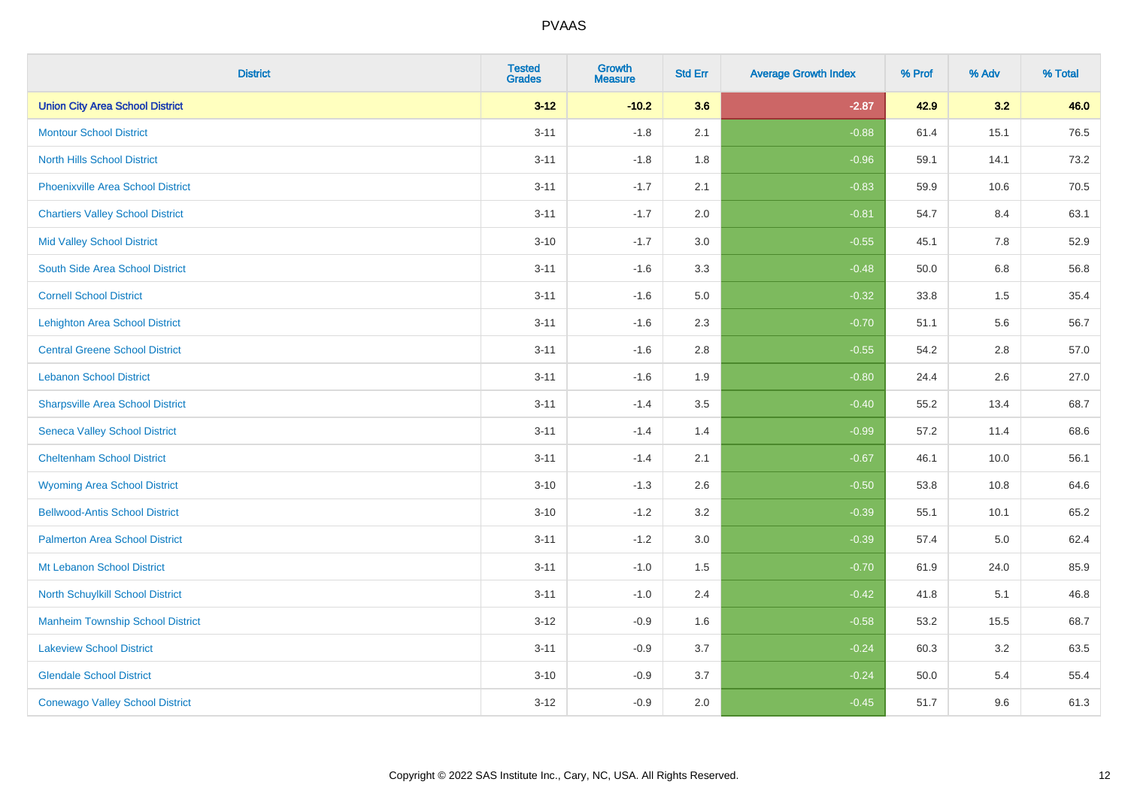| <b>District</b>                          | <b>Tested</b><br>Grades | <b>Growth</b><br><b>Measure</b> | <b>Std Err</b> | <b>Average Growth Index</b> | % Prof | % Adv   | % Total |
|------------------------------------------|-------------------------|---------------------------------|----------------|-----------------------------|--------|---------|---------|
| <b>Union City Area School District</b>   | $3 - 12$                | $-10.2$                         | 3.6            | $-2.87$                     | 42.9   | 3.2     | 46.0    |
| <b>Montour School District</b>           | $3 - 11$                | $-1.8$                          | 2.1            | $-0.88$                     | 61.4   | 15.1    | 76.5    |
| <b>North Hills School District</b>       | $3 - 11$                | $-1.8$                          | 1.8            | $-0.96$                     | 59.1   | 14.1    | 73.2    |
| <b>Phoenixville Area School District</b> | $3 - 11$                | $-1.7$                          | 2.1            | $-0.83$                     | 59.9   | 10.6    | 70.5    |
| <b>Chartiers Valley School District</b>  | $3 - 11$                | $-1.7$                          | 2.0            | $-0.81$                     | 54.7   | 8.4     | 63.1    |
| <b>Mid Valley School District</b>        | $3 - 10$                | $-1.7$                          | 3.0            | $-0.55$                     | 45.1   | 7.8     | 52.9    |
| South Side Area School District          | $3 - 11$                | $-1.6$                          | 3.3            | $-0.48$                     | 50.0   | 6.8     | 56.8    |
| <b>Cornell School District</b>           | $3 - 11$                | $-1.6$                          | 5.0            | $-0.32$                     | 33.8   | $1.5\,$ | 35.4    |
| <b>Lehighton Area School District</b>    | $3 - 11$                | $-1.6$                          | 2.3            | $-0.70$                     | 51.1   | 5.6     | 56.7    |
| <b>Central Greene School District</b>    | $3 - 11$                | $-1.6$                          | 2.8            | $-0.55$                     | 54.2   | $2.8\,$ | 57.0    |
| <b>Lebanon School District</b>           | $3 - 11$                | $-1.6$                          | 1.9            | $-0.80$                     | 24.4   | 2.6     | 27.0    |
| <b>Sharpsville Area School District</b>  | $3 - 11$                | $-1.4$                          | 3.5            | $-0.40$                     | 55.2   | 13.4    | 68.7    |
| <b>Seneca Valley School District</b>     | $3 - 11$                | $-1.4$                          | 1.4            | $-0.99$                     | 57.2   | 11.4    | 68.6    |
| <b>Cheltenham School District</b>        | $3 - 11$                | $-1.4$                          | 2.1            | $-0.67$                     | 46.1   | 10.0    | 56.1    |
| <b>Wyoming Area School District</b>      | $3 - 10$                | $-1.3$                          | 2.6            | $-0.50$                     | 53.8   | 10.8    | 64.6    |
| <b>Bellwood-Antis School District</b>    | $3 - 10$                | $-1.2$                          | 3.2            | $-0.39$                     | 55.1   | 10.1    | 65.2    |
| <b>Palmerton Area School District</b>    | $3 - 11$                | $-1.2$                          | 3.0            | $-0.39$                     | 57.4   | $5.0\,$ | 62.4    |
| Mt Lebanon School District               | $3 - 11$                | $-1.0$                          | 1.5            | $-0.70$                     | 61.9   | 24.0    | 85.9    |
| <b>North Schuylkill School District</b>  | $3 - 11$                | $-1.0$                          | 2.4            | $-0.42$                     | 41.8   | 5.1     | 46.8    |
| <b>Manheim Township School District</b>  | $3 - 12$                | $-0.9$                          | 1.6            | $-0.58$                     | 53.2   | 15.5    | 68.7    |
| <b>Lakeview School District</b>          | $3 - 11$                | $-0.9$                          | 3.7            | $-0.24$                     | 60.3   | 3.2     | 63.5    |
| <b>Glendale School District</b>          | $3 - 10$                | $-0.9$                          | 3.7            | $-0.24$                     | 50.0   | 5.4     | 55.4    |
| <b>Conewago Valley School District</b>   | $3-12$                  | $-0.9$                          | 2.0            | $-0.45$                     | 51.7   | 9.6     | 61.3    |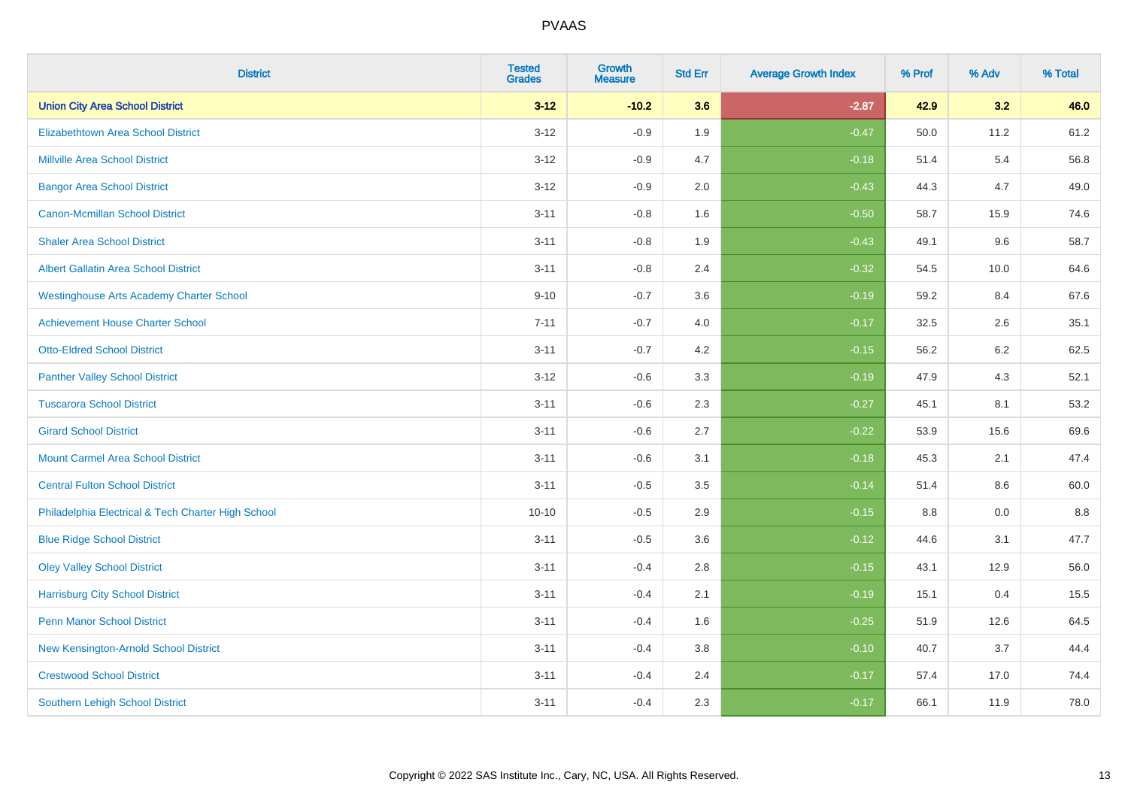| <b>District</b>                                    | <b>Tested</b><br><b>Grades</b> | Growth<br><b>Measure</b> | <b>Std Err</b> | <b>Average Growth Index</b> | % Prof | % Adv | % Total |
|----------------------------------------------------|--------------------------------|--------------------------|----------------|-----------------------------|--------|-------|---------|
| <b>Union City Area School District</b>             | $3 - 12$                       | $-10.2$                  | 3.6            | $-2.87$                     | 42.9   | 3.2   | 46.0    |
| Elizabethtown Area School District                 | $3 - 12$                       | $-0.9$                   | 1.9            | $-0.47$                     | 50.0   | 11.2  | 61.2    |
| <b>Millville Area School District</b>              | $3 - 12$                       | $-0.9$                   | 4.7            | $-0.18$                     | 51.4   | 5.4   | 56.8    |
| <b>Bangor Area School District</b>                 | $3 - 12$                       | $-0.9$                   | 2.0            | $-0.43$                     | 44.3   | 4.7   | 49.0    |
| Canon-Mcmillan School District                     | $3 - 11$                       | $-0.8$                   | 1.6            | $-0.50$                     | 58.7   | 15.9  | 74.6    |
| <b>Shaler Area School District</b>                 | $3 - 11$                       | $-0.8$                   | 1.9            | $-0.43$                     | 49.1   | 9.6   | 58.7    |
| <b>Albert Gallatin Area School District</b>        | $3 - 11$                       | $-0.8$                   | 2.4            | $-0.32$                     | 54.5   | 10.0  | 64.6    |
| <b>Westinghouse Arts Academy Charter School</b>    | $9 - 10$                       | $-0.7$                   | 3.6            | $-0.19$                     | 59.2   | 8.4   | 67.6    |
| <b>Achievement House Charter School</b>            | $7 - 11$                       | $-0.7$                   | 4.0            | $-0.17$                     | 32.5   | 2.6   | 35.1    |
| <b>Otto-Eldred School District</b>                 | $3 - 11$                       | $-0.7$                   | 4.2            | $-0.15$                     | 56.2   | 6.2   | 62.5    |
| <b>Panther Valley School District</b>              | $3 - 12$                       | $-0.6$                   | 3.3            | $-0.19$                     | 47.9   | 4.3   | 52.1    |
| <b>Tuscarora School District</b>                   | $3 - 11$                       | $-0.6$                   | 2.3            | $-0.27$                     | 45.1   | 8.1   | 53.2    |
| <b>Girard School District</b>                      | $3 - 11$                       | $-0.6$                   | 2.7            | $-0.22$                     | 53.9   | 15.6  | 69.6    |
| <b>Mount Carmel Area School District</b>           | $3 - 11$                       | $-0.6$                   | 3.1            | $-0.18$                     | 45.3   | 2.1   | 47.4    |
| <b>Central Fulton School District</b>              | $3 - 11$                       | $-0.5$                   | 3.5            | $-0.14$                     | 51.4   | 8.6   | 60.0    |
| Philadelphia Electrical & Tech Charter High School | $10 - 10$                      | $-0.5$                   | 2.9            | $-0.15$                     | 8.8    | 0.0   | 8.8     |
| <b>Blue Ridge School District</b>                  | $3 - 11$                       | $-0.5$                   | 3.6            | $-0.12$                     | 44.6   | 3.1   | 47.7    |
| <b>Oley Valley School District</b>                 | $3 - 11$                       | $-0.4$                   | 2.8            | $-0.15$                     | 43.1   | 12.9  | 56.0    |
| <b>Harrisburg City School District</b>             | $3 - 11$                       | $-0.4$                   | 2.1            | $-0.19$                     | 15.1   | 0.4   | 15.5    |
| <b>Penn Manor School District</b>                  | $3 - 11$                       | $-0.4$                   | 1.6            | $-0.25$                     | 51.9   | 12.6  | 64.5    |
| New Kensington-Arnold School District              | $3 - 11$                       | $-0.4$                   | 3.8            | $-0.10$                     | 40.7   | 3.7   | 44.4    |
| <b>Crestwood School District</b>                   | $3 - 11$                       | $-0.4$                   | 2.4            | $-0.17$                     | 57.4   | 17.0  | 74.4    |
| <b>Southern Lehigh School District</b>             | $3 - 11$                       | $-0.4$                   | 2.3            | $-0.17$                     | 66.1   | 11.9  | 78.0    |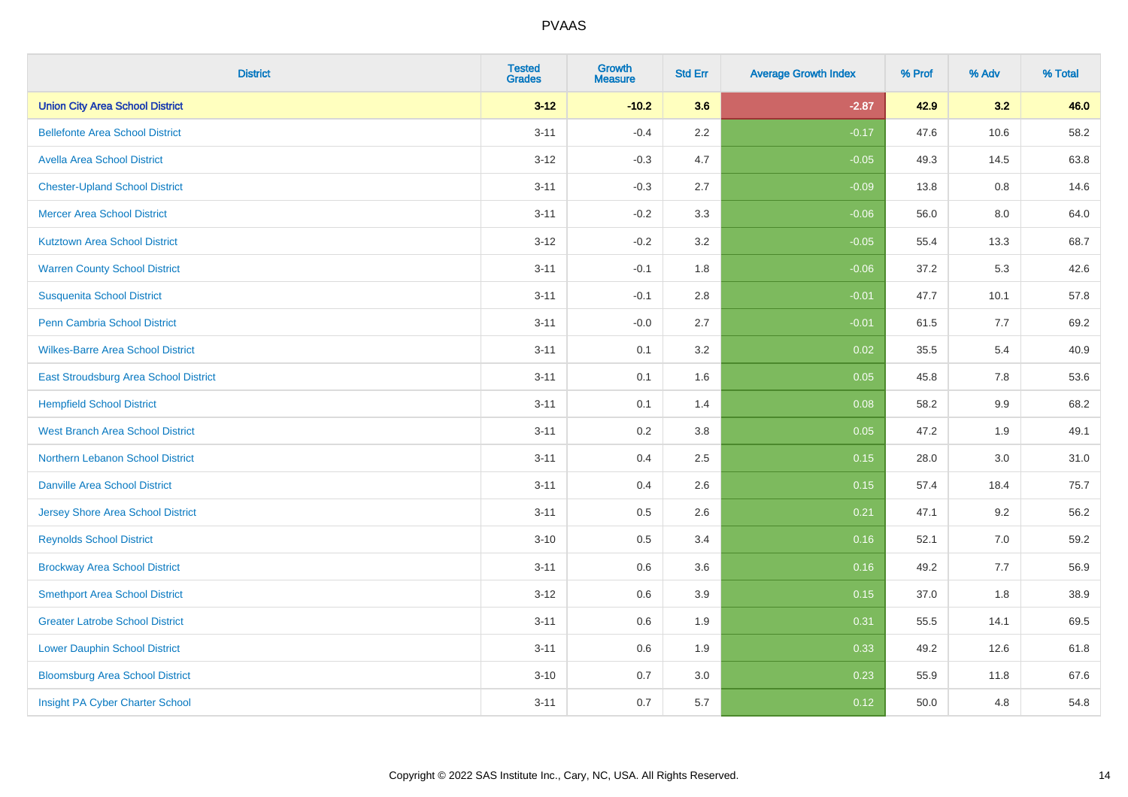| <b>District</b>                          | <b>Tested</b><br><b>Grades</b> | <b>Growth</b><br><b>Measure</b> | <b>Std Err</b> | <b>Average Growth Index</b> | % Prof | % Adv | % Total |
|------------------------------------------|--------------------------------|---------------------------------|----------------|-----------------------------|--------|-------|---------|
| <b>Union City Area School District</b>   | $3 - 12$                       | $-10.2$                         | 3.6            | $-2.87$                     | 42.9   | 3.2   | 46.0    |
| <b>Bellefonte Area School District</b>   | $3 - 11$                       | $-0.4$                          | 2.2            | $-0.17$                     | 47.6   | 10.6  | 58.2    |
| <b>Avella Area School District</b>       | $3 - 12$                       | $-0.3$                          | 4.7            | $-0.05$                     | 49.3   | 14.5  | 63.8    |
| <b>Chester-Upland School District</b>    | $3 - 11$                       | $-0.3$                          | 2.7            | $-0.09$                     | 13.8   | 0.8   | 14.6    |
| <b>Mercer Area School District</b>       | $3 - 11$                       | $-0.2$                          | 3.3            | $-0.06$                     | 56.0   | 8.0   | 64.0    |
| <b>Kutztown Area School District</b>     | $3 - 12$                       | $-0.2$                          | 3.2            | $-0.05$                     | 55.4   | 13.3  | 68.7    |
| <b>Warren County School District</b>     | $3 - 11$                       | $-0.1$                          | 1.8            | $-0.06$                     | 37.2   | 5.3   | 42.6    |
| <b>Susquenita School District</b>        | $3 - 11$                       | $-0.1$                          | 2.8            | $-0.01$                     | 47.7   | 10.1  | 57.8    |
| Penn Cambria School District             | $3 - 11$                       | $-0.0$                          | 2.7            | $-0.01$                     | 61.5   | 7.7   | 69.2    |
| <b>Wilkes-Barre Area School District</b> | $3 - 11$                       | 0.1                             | 3.2            | 0.02                        | 35.5   | 5.4   | 40.9    |
| East Stroudsburg Area School District    | $3 - 11$                       | 0.1                             | 1.6            | 0.05                        | 45.8   | 7.8   | 53.6    |
| <b>Hempfield School District</b>         | $3 - 11$                       | 0.1                             | 1.4            | 0.08                        | 58.2   | 9.9   | 68.2    |
| <b>West Branch Area School District</b>  | $3 - 11$                       | $0.2\,$                         | 3.8            | 0.05                        | 47.2   | 1.9   | 49.1    |
| Northern Lebanon School District         | $3 - 11$                       | 0.4                             | 2.5            | 0.15                        | 28.0   | 3.0   | 31.0    |
| <b>Danville Area School District</b>     | $3 - 11$                       | 0.4                             | 2.6            | 0.15                        | 57.4   | 18.4  | 75.7    |
| <b>Jersey Shore Area School District</b> | $3 - 11$                       | 0.5                             | 2.6            | 0.21                        | 47.1   | 9.2   | 56.2    |
| <b>Reynolds School District</b>          | $3 - 10$                       | 0.5                             | 3.4            | 0.16                        | 52.1   | 7.0   | 59.2    |
| <b>Brockway Area School District</b>     | $3 - 11$                       | 0.6                             | 3.6            | 0.16                        | 49.2   | 7.7   | 56.9    |
| <b>Smethport Area School District</b>    | $3 - 12$                       | 0.6                             | 3.9            | 0.15                        | 37.0   | 1.8   | 38.9    |
| <b>Greater Latrobe School District</b>   | $3 - 11$                       | 0.6                             | 1.9            | 0.31                        | 55.5   | 14.1  | 69.5    |
| <b>Lower Dauphin School District</b>     | $3 - 11$                       | 0.6                             | 1.9            | 0.33                        | 49.2   | 12.6  | 61.8    |
| <b>Bloomsburg Area School District</b>   | $3 - 10$                       | 0.7                             | 3.0            | 0.23                        | 55.9   | 11.8  | 67.6    |
| Insight PA Cyber Charter School          | $3 - 11$                       | 0.7                             | 5.7            | 0.12                        | 50.0   | 4.8   | 54.8    |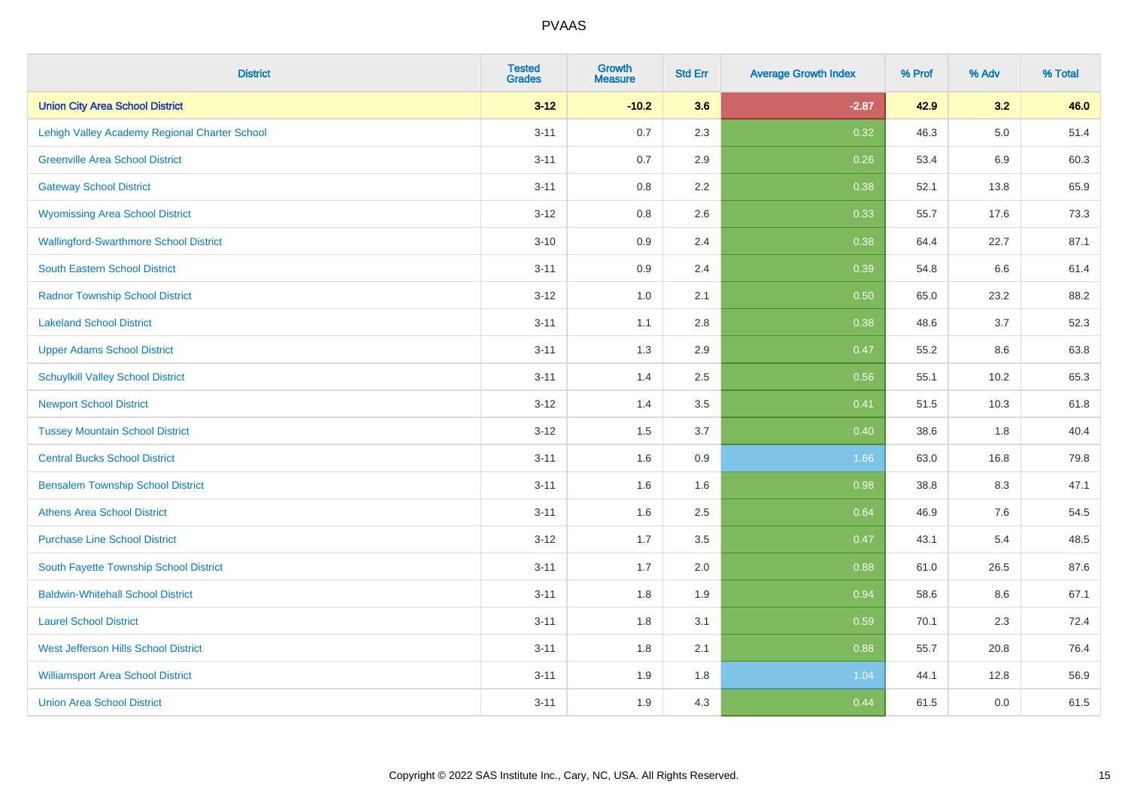| <b>District</b>                               | <b>Tested</b><br><b>Grades</b> | <b>Growth</b><br><b>Measure</b> | <b>Std Err</b> | <b>Average Growth Index</b> | % Prof | % Adv   | % Total |
|-----------------------------------------------|--------------------------------|---------------------------------|----------------|-----------------------------|--------|---------|---------|
| <b>Union City Area School District</b>        | $3 - 12$                       | $-10.2$                         | 3.6            | $-2.87$                     | 42.9   | 3.2     | 46.0    |
| Lehigh Valley Academy Regional Charter School | $3 - 11$                       | 0.7                             | 2.3            | 0.32                        | 46.3   | $5.0\,$ | 51.4    |
| <b>Greenville Area School District</b>        | $3 - 11$                       | 0.7                             | 2.9            | 0.26                        | 53.4   | 6.9     | 60.3    |
| <b>Gateway School District</b>                | $3 - 11$                       | 0.8                             | 2.2            | 0.38                        | 52.1   | 13.8    | 65.9    |
| <b>Wyomissing Area School District</b>        | $3 - 12$                       | 0.8                             | 2.6            | 0.33                        | 55.7   | 17.6    | 73.3    |
| <b>Wallingford-Swarthmore School District</b> | $3 - 10$                       | 0.9                             | 2.4            | 0.38                        | 64.4   | 22.7    | 87.1    |
| South Eastern School District                 | $3 - 11$                       | 0.9                             | 2.4            | 0.39                        | 54.8   | 6.6     | 61.4    |
| <b>Radnor Township School District</b>        | $3 - 12$                       | 1.0                             | 2.1            | 0.50                        | 65.0   | 23.2    | 88.2    |
| <b>Lakeland School District</b>               | $3 - 11$                       | 1.1                             | 2.8            | 0.38                        | 48.6   | 3.7     | 52.3    |
| <b>Upper Adams School District</b>            | $3 - 11$                       | 1.3                             | 2.9            | 0.47                        | 55.2   | 8.6     | 63.8    |
| <b>Schuylkill Valley School District</b>      | $3 - 11$                       | 1.4                             | 2.5            | 0.56                        | 55.1   | 10.2    | 65.3    |
| <b>Newport School District</b>                | $3 - 12$                       | 1.4                             | 3.5            | 0.41                        | 51.5   | 10.3    | 61.8    |
| <b>Tussey Mountain School District</b>        | $3 - 12$                       | 1.5                             | 3.7            | 0.40                        | 38.6   | $1.8\,$ | 40.4    |
| <b>Central Bucks School District</b>          | $3 - 11$                       | 1.6                             | 0.9            | 1.66                        | 63.0   | 16.8    | 79.8    |
| <b>Bensalem Township School District</b>      | $3 - 11$                       | 1.6                             | 1.6            | 0.98                        | 38.8   | 8.3     | 47.1    |
| <b>Athens Area School District</b>            | $3 - 11$                       | 1.6                             | 2.5            | 0.64                        | 46.9   | 7.6     | 54.5    |
| <b>Purchase Line School District</b>          | $3 - 12$                       | 1.7                             | 3.5            | 0.47                        | 43.1   | 5.4     | 48.5    |
| South Fayette Township School District        | $3 - 11$                       | 1.7                             | 2.0            | 0.88                        | 61.0   | 26.5    | 87.6    |
| <b>Baldwin-Whitehall School District</b>      | $3 - 11$                       | 1.8                             | 1.9            | 0.94                        | 58.6   | 8.6     | 67.1    |
| <b>Laurel School District</b>                 | $3 - 11$                       | 1.8                             | 3.1            | 0.59                        | 70.1   | 2.3     | 72.4    |
| West Jefferson Hills School District          | $3 - 11$                       | 1.8                             | 2.1            | 0.88                        | 55.7   | 20.8    | 76.4    |
| <b>Williamsport Area School District</b>      | $3 - 11$                       | 1.9                             | 1.8            | 1.04                        | 44.1   | 12.8    | 56.9    |
| <b>Union Area School District</b>             | $3 - 11$                       | 1.9                             | 4.3            | 0.44                        | 61.5   | 0.0     | 61.5    |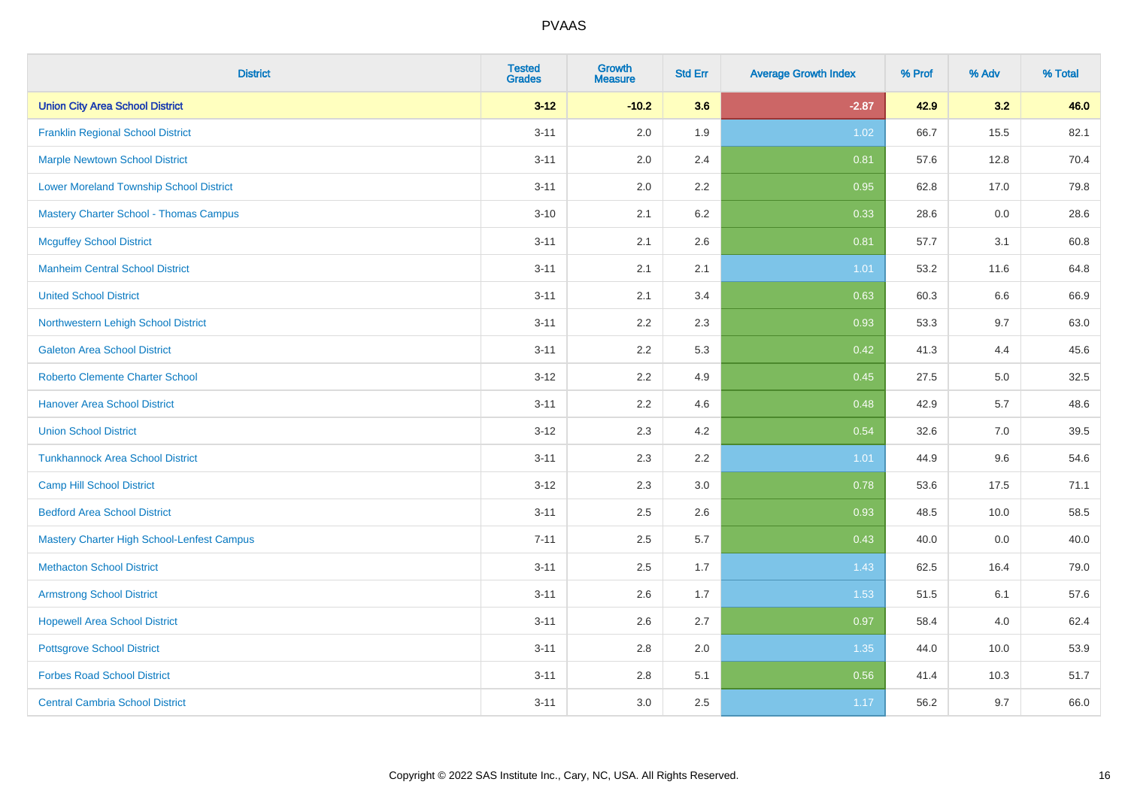| <b>District</b>                                | <b>Tested</b><br><b>Grades</b> | <b>Growth</b><br><b>Measure</b> | <b>Std Err</b> | <b>Average Growth Index</b> | % Prof | % Adv | % Total |
|------------------------------------------------|--------------------------------|---------------------------------|----------------|-----------------------------|--------|-------|---------|
| <b>Union City Area School District</b>         | $3 - 12$                       | $-10.2$                         | 3.6            | $-2.87$                     | 42.9   | 3.2   | 46.0    |
| <b>Franklin Regional School District</b>       | $3 - 11$                       | 2.0                             | 1.9            | 1.02                        | 66.7   | 15.5  | 82.1    |
| <b>Marple Newtown School District</b>          | $3 - 11$                       | 2.0                             | 2.4            | 0.81                        | 57.6   | 12.8  | 70.4    |
| <b>Lower Moreland Township School District</b> | $3 - 11$                       | 2.0                             | 2.2            | 0.95                        | 62.8   | 17.0  | 79.8    |
| <b>Mastery Charter School - Thomas Campus</b>  | $3 - 10$                       | 2.1                             | 6.2            | 0.33                        | 28.6   | 0.0   | 28.6    |
| <b>Mcguffey School District</b>                | $3 - 11$                       | 2.1                             | 2.6            | 0.81                        | 57.7   | 3.1   | 60.8    |
| <b>Manheim Central School District</b>         | $3 - 11$                       | 2.1                             | 2.1            | 1.01                        | 53.2   | 11.6  | 64.8    |
| <b>United School District</b>                  | $3 - 11$                       | 2.1                             | 3.4            | 0.63                        | 60.3   | 6.6   | 66.9    |
| Northwestern Lehigh School District            | $3 - 11$                       | 2.2                             | 2.3            | 0.93                        | 53.3   | 9.7   | 63.0    |
| <b>Galeton Area School District</b>            | $3 - 11$                       | 2.2                             | 5.3            | 0.42                        | 41.3   | 4.4   | 45.6    |
| <b>Roberto Clemente Charter School</b>         | $3 - 12$                       | 2.2                             | 4.9            | 0.45                        | 27.5   | 5.0   | 32.5    |
| <b>Hanover Area School District</b>            | $3 - 11$                       | 2.2                             | 4.6            | 0.48                        | 42.9   | 5.7   | 48.6    |
| <b>Union School District</b>                   | $3 - 12$                       | 2.3                             | 4.2            | 0.54                        | 32.6   | 7.0   | 39.5    |
| <b>Tunkhannock Area School District</b>        | $3 - 11$                       | 2.3                             | 2.2            | 1.01                        | 44.9   | 9.6   | 54.6    |
| <b>Camp Hill School District</b>               | $3 - 12$                       | 2.3                             | 3.0            | 0.78                        | 53.6   | 17.5  | 71.1    |
| <b>Bedford Area School District</b>            | $3 - 11$                       | 2.5                             | 2.6            | 0.93                        | 48.5   | 10.0  | 58.5    |
| Mastery Charter High School-Lenfest Campus     | $7 - 11$                       | 2.5                             | 5.7            | 0.43                        | 40.0   | 0.0   | 40.0    |
| <b>Methacton School District</b>               | $3 - 11$                       | 2.5                             | 1.7            | 1.43                        | 62.5   | 16.4  | 79.0    |
| <b>Armstrong School District</b>               | $3 - 11$                       | 2.6                             | 1.7            | 1.53                        | 51.5   | 6.1   | 57.6    |
| <b>Hopewell Area School District</b>           | $3 - 11$                       | 2.6                             | 2.7            | 0.97                        | 58.4   | 4.0   | 62.4    |
| <b>Pottsgrove School District</b>              | $3 - 11$                       | 2.8                             | 2.0            | 1.35                        | 44.0   | 10.0  | 53.9    |
| <b>Forbes Road School District</b>             | $3 - 11$                       | $2.8\,$                         | 5.1            | 0.56                        | 41.4   | 10.3  | 51.7    |
| <b>Central Cambria School District</b>         | $3 - 11$                       | 3.0                             | 2.5            | 1.17                        | 56.2   | 9.7   | 66.0    |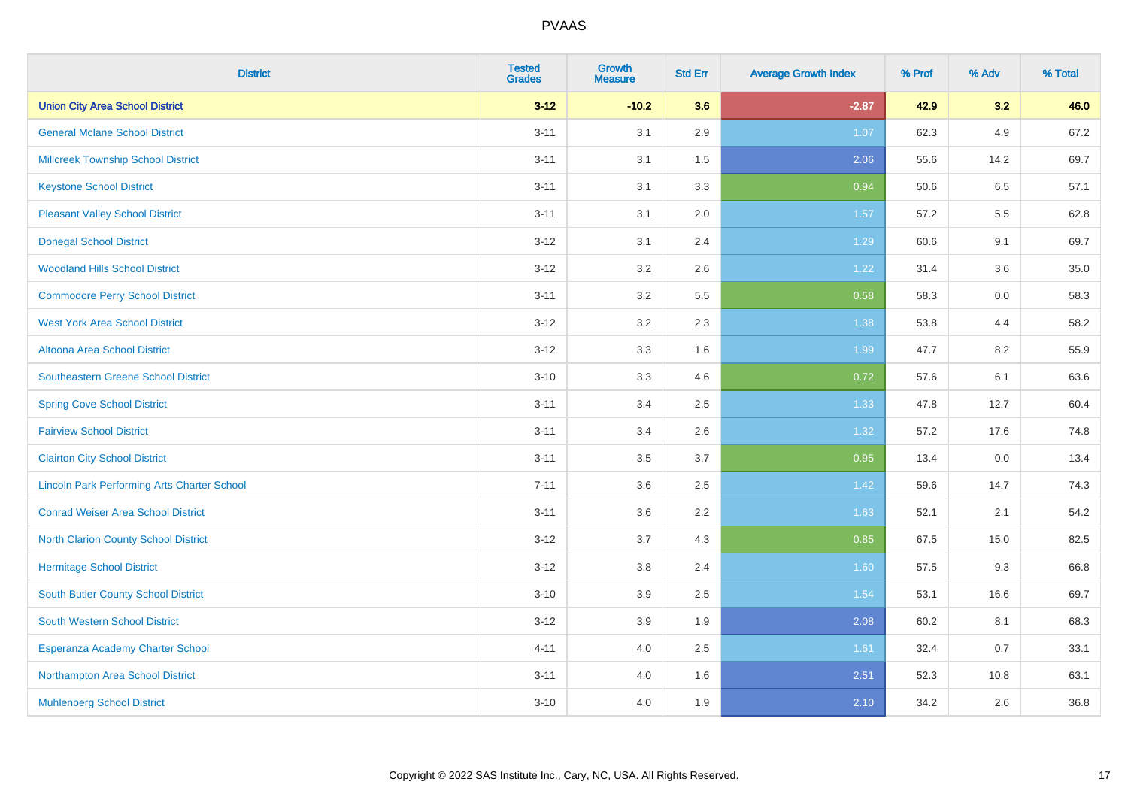| <b>District</b>                                    | <b>Tested</b><br><b>Grades</b> | Growth<br><b>Measure</b> | <b>Std Err</b> | <b>Average Growth Index</b> | % Prof | % Adv | % Total |
|----------------------------------------------------|--------------------------------|--------------------------|----------------|-----------------------------|--------|-------|---------|
| <b>Union City Area School District</b>             | $3 - 12$                       | $-10.2$                  | 3.6            | $-2.87$                     | 42.9   | 3.2   | 46.0    |
| <b>General Mclane School District</b>              | $3 - 11$                       | 3.1                      | 2.9            | 1.07                        | 62.3   | 4.9   | 67.2    |
| <b>Millcreek Township School District</b>          | $3 - 11$                       | 3.1                      | 1.5            | 2.06                        | 55.6   | 14.2  | 69.7    |
| <b>Keystone School District</b>                    | $3 - 11$                       | 3.1                      | 3.3            | 0.94                        | 50.6   | 6.5   | 57.1    |
| <b>Pleasant Valley School District</b>             | $3 - 11$                       | 3.1                      | 2.0            | 1.57                        | 57.2   | 5.5   | 62.8    |
| <b>Donegal School District</b>                     | $3 - 12$                       | 3.1                      | 2.4            | 1.29                        | 60.6   | 9.1   | 69.7    |
| <b>Woodland Hills School District</b>              | $3 - 12$                       | 3.2                      | 2.6            | 1.22                        | 31.4   | 3.6   | 35.0    |
| <b>Commodore Perry School District</b>             | $3 - 11$                       | 3.2                      | 5.5            | 0.58                        | 58.3   | 0.0   | 58.3    |
| <b>West York Area School District</b>              | $3 - 12$                       | 3.2                      | 2.3            | 1.38                        | 53.8   | 4.4   | 58.2    |
| <b>Altoona Area School District</b>                | $3 - 12$                       | 3.3                      | 1.6            | 1.99                        | 47.7   | 8.2   | 55.9    |
| <b>Southeastern Greene School District</b>         | $3 - 10$                       | 3.3                      | 4.6            | 0.72                        | 57.6   | 6.1   | 63.6    |
| <b>Spring Cove School District</b>                 | $3 - 11$                       | 3.4                      | 2.5            | 1.33                        | 47.8   | 12.7  | 60.4    |
| <b>Fairview School District</b>                    | $3 - 11$                       | 3.4                      | 2.6            | 1.32                        | 57.2   | 17.6  | 74.8    |
| <b>Clairton City School District</b>               | $3 - 11$                       | 3.5                      | 3.7            | 0.95                        | 13.4   | 0.0   | 13.4    |
| <b>Lincoln Park Performing Arts Charter School</b> | $7 - 11$                       | 3.6                      | 2.5            | 1.42                        | 59.6   | 14.7  | 74.3    |
| <b>Conrad Weiser Area School District</b>          | $3 - 11$                       | 3.6                      | 2.2            | 1.63                        | 52.1   | 2.1   | 54.2    |
| <b>North Clarion County School District</b>        | $3 - 12$                       | 3.7                      | 4.3            | 0.85                        | 67.5   | 15.0  | 82.5    |
| <b>Hermitage School District</b>                   | $3 - 12$                       | 3.8                      | 2.4            | 1.60                        | 57.5   | 9.3   | 66.8    |
| South Butler County School District                | $3 - 10$                       | 3.9                      | 2.5            | 1.54                        | 53.1   | 16.6  | 69.7    |
| South Western School District                      | $3 - 12$                       | 3.9                      | 1.9            | 2.08                        | 60.2   | 8.1   | 68.3    |
| Esperanza Academy Charter School                   | $4 - 11$                       | 4.0                      | 2.5            | 1.61                        | 32.4   | 0.7   | 33.1    |
| Northampton Area School District                   | $3 - 11$                       | 4.0                      | 1.6            | 2.51                        | 52.3   | 10.8  | 63.1    |
| <b>Muhlenberg School District</b>                  | $3 - 10$                       | 4.0                      | 1.9            | 2.10                        | 34.2   | 2.6   | 36.8    |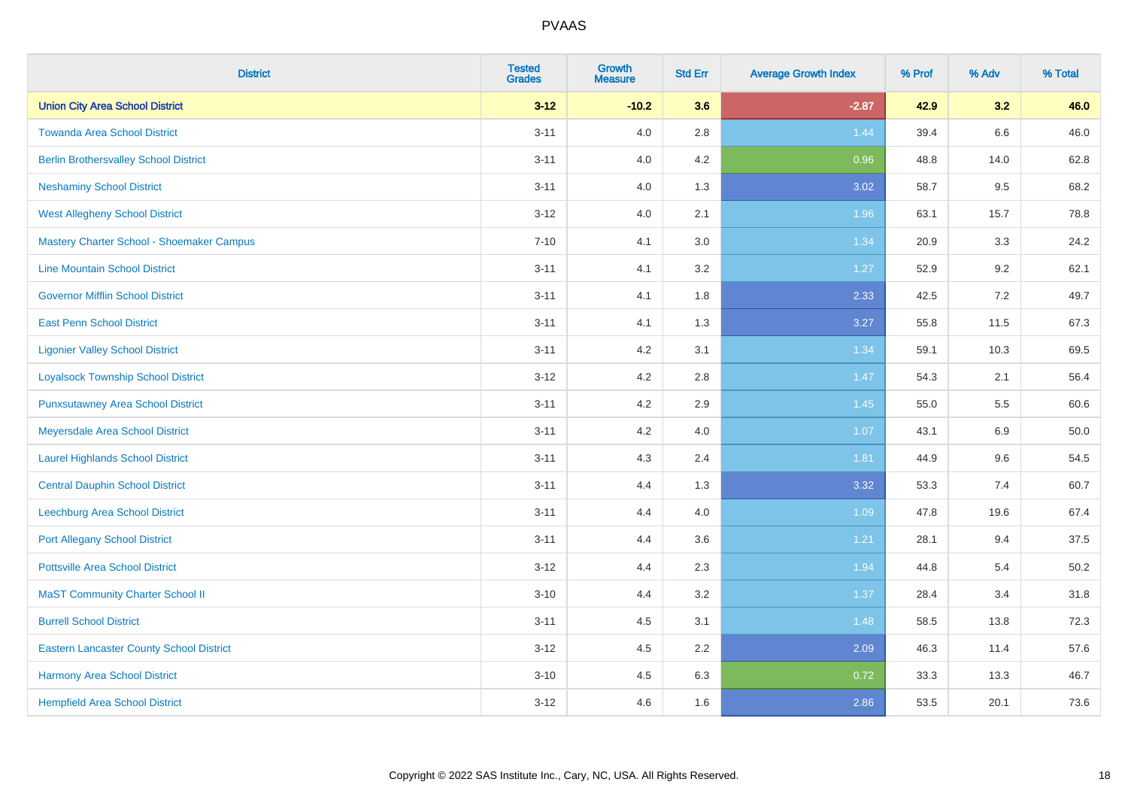| <b>District</b>                                 | <b>Tested</b><br><b>Grades</b> | <b>Growth</b><br><b>Measure</b> | <b>Std Err</b> | <b>Average Growth Index</b> | % Prof | % Adv | % Total  |
|-------------------------------------------------|--------------------------------|---------------------------------|----------------|-----------------------------|--------|-------|----------|
| <b>Union City Area School District</b>          | $3 - 12$                       | $-10.2$                         | 3.6            | $-2.87$                     | 42.9   | 3.2   | 46.0     |
| <b>Towanda Area School District</b>             | $3 - 11$                       | 4.0                             | 2.8            | 1.44                        | 39.4   | 6.6   | 46.0     |
| <b>Berlin Brothersvalley School District</b>    | $3 - 11$                       | 4.0                             | 4.2            | 0.96                        | 48.8   | 14.0  | 62.8     |
| <b>Neshaminy School District</b>                | $3 - 11$                       | 4.0                             | 1.3            | 3.02                        | 58.7   | 9.5   | 68.2     |
| <b>West Allegheny School District</b>           | $3 - 12$                       | 4.0                             | 2.1            | 1.96                        | 63.1   | 15.7  | 78.8     |
| Mastery Charter School - Shoemaker Campus       | $7 - 10$                       | 4.1                             | 3.0            | 1.34                        | 20.9   | 3.3   | 24.2     |
| <b>Line Mountain School District</b>            | $3 - 11$                       | 4.1                             | 3.2            | 1.27                        | 52.9   | 9.2   | 62.1     |
| <b>Governor Mifflin School District</b>         | $3 - 11$                       | 4.1                             | 1.8            | 2.33                        | 42.5   | 7.2   | 49.7     |
| <b>East Penn School District</b>                | $3 - 11$                       | 4.1                             | 1.3            | 3.27                        | 55.8   | 11.5  | 67.3     |
| <b>Ligonier Valley School District</b>          | $3 - 11$                       | 4.2                             | 3.1            | 1.34                        | 59.1   | 10.3  | 69.5     |
| <b>Loyalsock Township School District</b>       | $3 - 12$                       | 4.2                             | 2.8            | 1.47                        | 54.3   | 2.1   | 56.4     |
| <b>Punxsutawney Area School District</b>        | $3 - 11$                       | 4.2                             | 2.9            | 1.45                        | 55.0   | 5.5   | 60.6     |
| Meyersdale Area School District                 | $3 - 11$                       | 4.2                             | 4.0            | 1.07                        | 43.1   | 6.9   | 50.0     |
| <b>Laurel Highlands School District</b>         | $3 - 11$                       | 4.3                             | 2.4            | 1.81                        | 44.9   | 9.6   | 54.5     |
| <b>Central Dauphin School District</b>          | $3 - 11$                       | 4.4                             | 1.3            | 3.32                        | 53.3   | 7.4   | 60.7     |
| Leechburg Area School District                  | $3 - 11$                       | 4.4                             | 4.0            | 1.09                        | 47.8   | 19.6  | 67.4     |
| <b>Port Allegany School District</b>            | $3 - 11$                       | 4.4                             | 3.6            | 1.21                        | 28.1   | 9.4   | 37.5     |
| <b>Pottsville Area School District</b>          | $3 - 12$                       | 4.4                             | 2.3            | 1.94                        | 44.8   | 5.4   | $50.2\,$ |
| <b>MaST Community Charter School II</b>         | $3 - 10$                       | 4.4                             | 3.2            | 1.37                        | 28.4   | 3.4   | 31.8     |
| <b>Burrell School District</b>                  | $3 - 11$                       | 4.5                             | 3.1            | 1.48                        | 58.5   | 13.8  | 72.3     |
| <b>Eastern Lancaster County School District</b> | $3-12$                         | 4.5                             | 2.2            | 2.09                        | 46.3   | 11.4  | 57.6     |
| <b>Harmony Area School District</b>             | $3 - 10$                       | 4.5                             | 6.3            | 0.72                        | 33.3   | 13.3  | 46.7     |
| <b>Hempfield Area School District</b>           | $3-12$                         | 4.6                             | 1.6            | 2.86                        | 53.5   | 20.1  | 73.6     |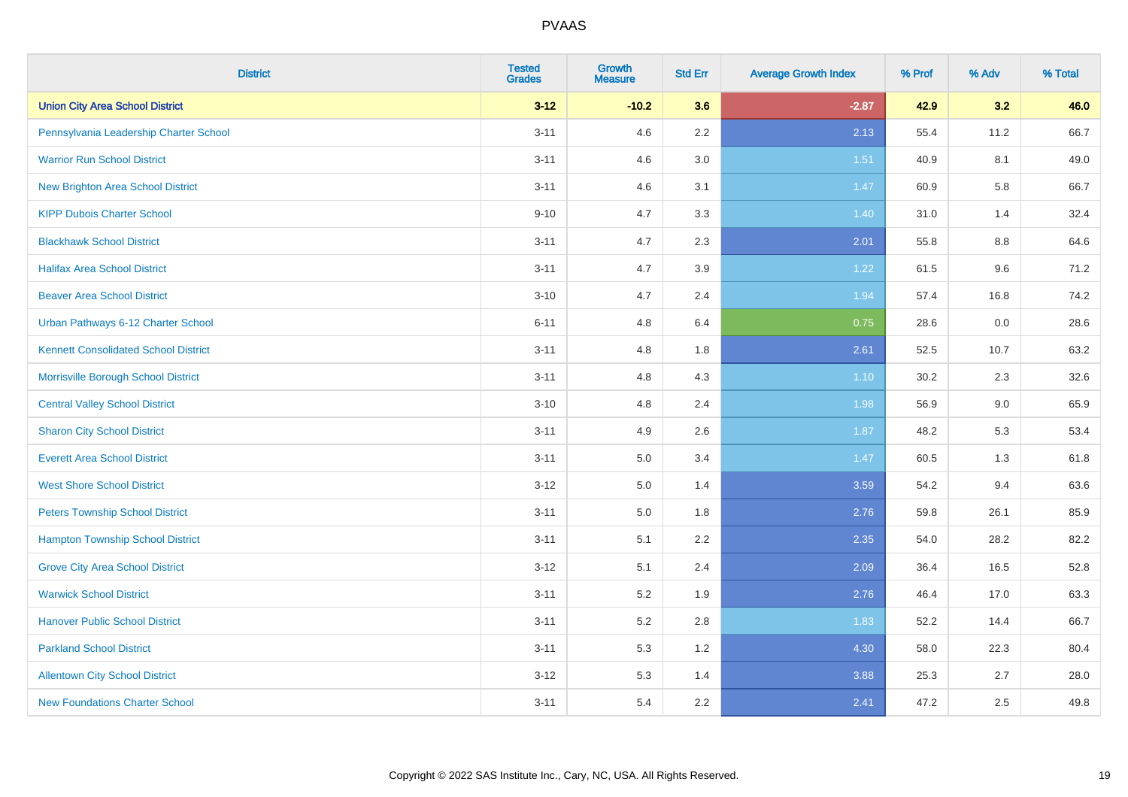| <b>District</b>                             | <b>Tested</b><br><b>Grades</b> | <b>Growth</b><br><b>Measure</b> | <b>Std Err</b> | <b>Average Growth Index</b> | % Prof | % Adv | % Total |
|---------------------------------------------|--------------------------------|---------------------------------|----------------|-----------------------------|--------|-------|---------|
| <b>Union City Area School District</b>      | $3 - 12$                       | $-10.2$                         | 3.6            | $-2.87$                     | 42.9   | 3.2   | 46.0    |
| Pennsylvania Leadership Charter School      | $3 - 11$                       | 4.6                             | $2.2\,$        | 2.13                        | 55.4   | 11.2  | 66.7    |
| <b>Warrior Run School District</b>          | $3 - 11$                       | 4.6                             | 3.0            | 1.51                        | 40.9   | 8.1   | 49.0    |
| <b>New Brighton Area School District</b>    | $3 - 11$                       | 4.6                             | 3.1            | 1.47                        | 60.9   | 5.8   | 66.7    |
| <b>KIPP Dubois Charter School</b>           | $9 - 10$                       | 4.7                             | 3.3            | 1.40                        | 31.0   | 1.4   | 32.4    |
| <b>Blackhawk School District</b>            | $3 - 11$                       | 4.7                             | 2.3            | 2.01                        | 55.8   | 8.8   | 64.6    |
| <b>Halifax Area School District</b>         | $3 - 11$                       | 4.7                             | 3.9            | 1.22                        | 61.5   | 9.6   | 71.2    |
| <b>Beaver Area School District</b>          | $3 - 10$                       | 4.7                             | 2.4            | 1.94                        | 57.4   | 16.8  | 74.2    |
| Urban Pathways 6-12 Charter School          | $6 - 11$                       | 4.8                             | 6.4            | 0.75                        | 28.6   | 0.0   | 28.6    |
| <b>Kennett Consolidated School District</b> | $3 - 11$                       | 4.8                             | 1.8            | 2.61                        | 52.5   | 10.7  | 63.2    |
| Morrisville Borough School District         | $3 - 11$                       | 4.8                             | 4.3            | $1.10$                      | 30.2   | 2.3   | 32.6    |
| <b>Central Valley School District</b>       | $3 - 10$                       | 4.8                             | 2.4            | 1.98                        | 56.9   | 9.0   | 65.9    |
| <b>Sharon City School District</b>          | $3 - 11$                       | 4.9                             | 2.6            | 1.87                        | 48.2   | 5.3   | 53.4    |
| <b>Everett Area School District</b>         | $3 - 11$                       | $5.0\,$                         | 3.4            | 1.47                        | 60.5   | 1.3   | 61.8    |
| <b>West Shore School District</b>           | $3 - 12$                       | 5.0                             | 1.4            | 3.59                        | 54.2   | 9.4   | 63.6    |
| <b>Peters Township School District</b>      | $3 - 11$                       | 5.0                             | 1.8            | 2.76                        | 59.8   | 26.1  | 85.9    |
| <b>Hampton Township School District</b>     | $3 - 11$                       | 5.1                             | 2.2            | 2.35                        | 54.0   | 28.2  | 82.2    |
| <b>Grove City Area School District</b>      | $3 - 12$                       | 5.1                             | 2.4            | 2.09                        | 36.4   | 16.5  | 52.8    |
| <b>Warwick School District</b>              | $3 - 11$                       | 5.2                             | 1.9            | 2.76                        | 46.4   | 17.0  | 63.3    |
| <b>Hanover Public School District</b>       | $3 - 11$                       | 5.2                             | 2.8            | 1.83                        | 52.2   | 14.4  | 66.7    |
| <b>Parkland School District</b>             | $3 - 11$                       | 5.3                             | 1.2            | 4.30                        | 58.0   | 22.3  | 80.4    |
| <b>Allentown City School District</b>       | $3 - 12$                       | 5.3                             | 1.4            | 3.88                        | 25.3   | 2.7   | 28.0    |
| <b>New Foundations Charter School</b>       | $3 - 11$                       | 5.4                             | 2.2            | 2.41                        | 47.2   | 2.5   | 49.8    |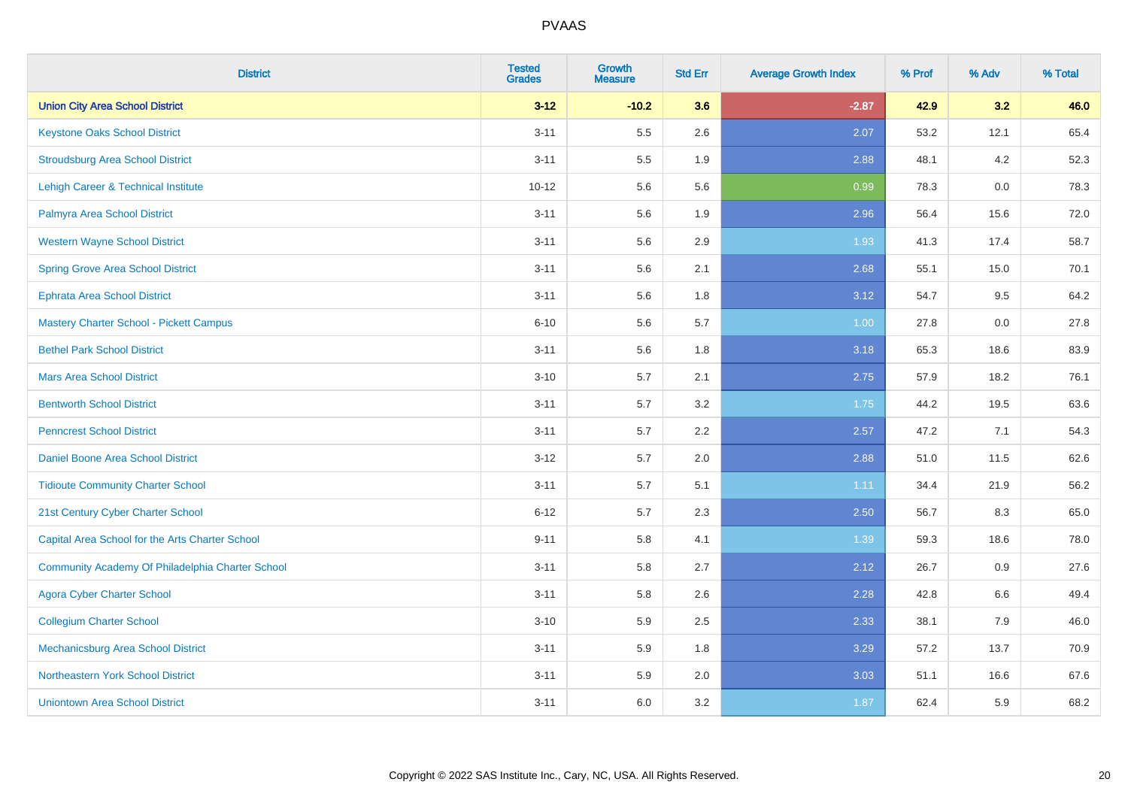| <b>District</b>                                  | <b>Tested</b><br><b>Grades</b> | <b>Growth</b><br><b>Measure</b> | <b>Std Err</b> | <b>Average Growth Index</b> | % Prof | % Adv | % Total |
|--------------------------------------------------|--------------------------------|---------------------------------|----------------|-----------------------------|--------|-------|---------|
| <b>Union City Area School District</b>           | $3 - 12$                       | $-10.2$                         | 3.6            | $-2.87$                     | 42.9   | 3.2   | 46.0    |
| <b>Keystone Oaks School District</b>             | $3 - 11$                       | 5.5                             | 2.6            | 2.07                        | 53.2   | 12.1  | 65.4    |
| <b>Stroudsburg Area School District</b>          | $3 - 11$                       | 5.5                             | 1.9            | 2.88                        | 48.1   | 4.2   | 52.3    |
| Lehigh Career & Technical Institute              | $10 - 12$                      | 5.6                             | 5.6            | 0.99                        | 78.3   | 0.0   | 78.3    |
| Palmyra Area School District                     | $3 - 11$                       | 5.6                             | 1.9            | 2.96                        | 56.4   | 15.6  | 72.0    |
| <b>Western Wayne School District</b>             | $3 - 11$                       | 5.6                             | 2.9            | 1.93                        | 41.3   | 17.4  | 58.7    |
| <b>Spring Grove Area School District</b>         | $3 - 11$                       | 5.6                             | 2.1            | 2.68                        | 55.1   | 15.0  | 70.1    |
| <b>Ephrata Area School District</b>              | $3 - 11$                       | 5.6                             | 1.8            | 3.12                        | 54.7   | 9.5   | 64.2    |
| Mastery Charter School - Pickett Campus          | $6 - 10$                       | 5.6                             | 5.7            | 1.00                        | 27.8   | 0.0   | 27.8    |
| <b>Bethel Park School District</b>               | $3 - 11$                       | 5.6                             | 1.8            | 3.18                        | 65.3   | 18.6  | 83.9    |
| <b>Mars Area School District</b>                 | $3 - 10$                       | 5.7                             | 2.1            | 2.75                        | 57.9   | 18.2  | 76.1    |
| <b>Bentworth School District</b>                 | $3 - 11$                       | 5.7                             | 3.2            | 1.75                        | 44.2   | 19.5  | 63.6    |
| <b>Penncrest School District</b>                 | $3 - 11$                       | 5.7                             | 2.2            | 2.57                        | 47.2   | 7.1   | 54.3    |
| Daniel Boone Area School District                | $3-12$                         | 5.7                             | 2.0            | 2.88                        | 51.0   | 11.5  | 62.6    |
| <b>Tidioute Community Charter School</b>         | $3 - 11$                       | 5.7                             | 5.1            | 1.11                        | 34.4   | 21.9  | 56.2    |
| 21st Century Cyber Charter School                | $6 - 12$                       | 5.7                             | 2.3            | 2.50                        | 56.7   | 8.3   | 65.0    |
| Capital Area School for the Arts Charter School  | $9 - 11$                       | 5.8                             | 4.1            | 1.39                        | 59.3   | 18.6  | 78.0    |
| Community Academy Of Philadelphia Charter School | $3 - 11$                       | 5.8                             | 2.7            | 2.12                        | 26.7   | 0.9   | 27.6    |
| <b>Agora Cyber Charter School</b>                | $3 - 11$                       | 5.8                             | 2.6            | 2.28                        | 42.8   | 6.6   | 49.4    |
| <b>Collegium Charter School</b>                  | $3 - 10$                       | 5.9                             | 2.5            | 2.33                        | 38.1   | 7.9   | 46.0    |
| Mechanicsburg Area School District               | $3 - 11$                       | 5.9                             | 1.8            | 3.29                        | 57.2   | 13.7  | 70.9    |
| Northeastern York School District                | $3 - 11$                       | 5.9                             | 2.0            | 3.03                        | 51.1   | 16.6  | 67.6    |
| <b>Uniontown Area School District</b>            | $3 - 11$                       | 6.0                             | 3.2            | 1.87                        | 62.4   | 5.9   | 68.2    |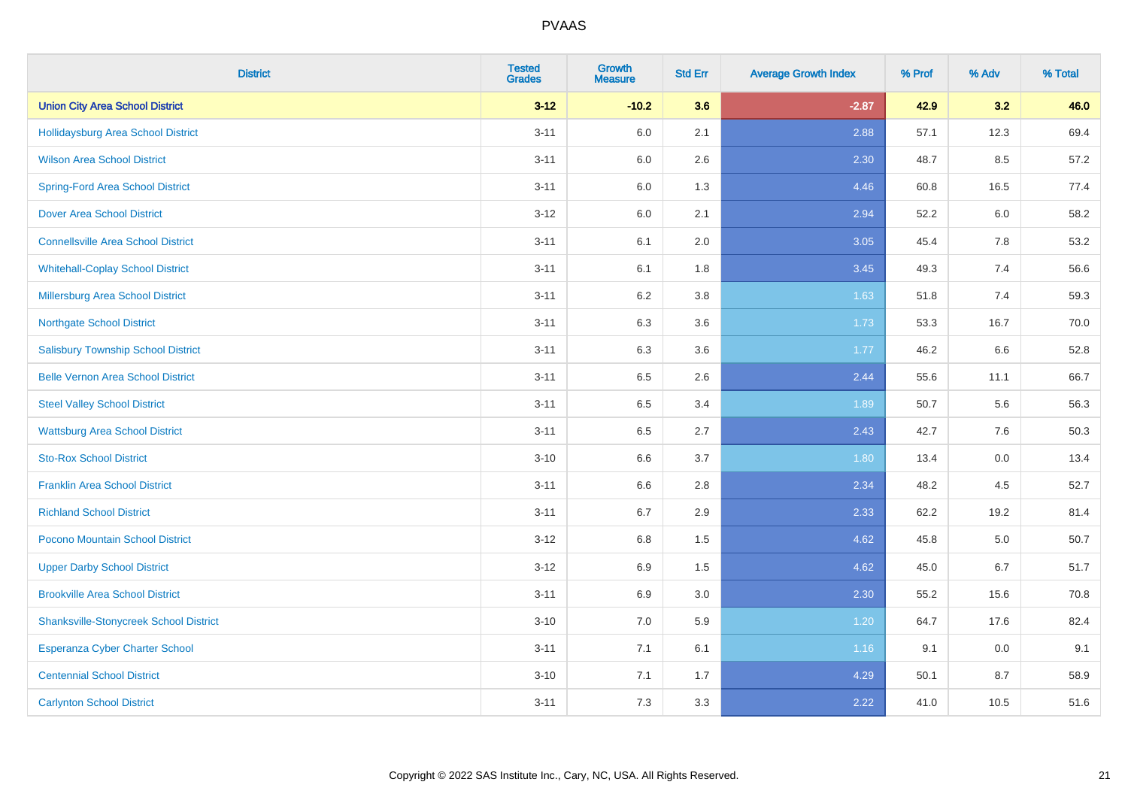| <b>District</b>                               | <b>Tested</b><br><b>Grades</b> | <b>Growth</b><br><b>Measure</b> | <b>Std Err</b> | <b>Average Growth Index</b> | % Prof | % Adv | % Total |
|-----------------------------------------------|--------------------------------|---------------------------------|----------------|-----------------------------|--------|-------|---------|
| <b>Union City Area School District</b>        | $3 - 12$                       | $-10.2$                         | 3.6            | $-2.87$                     | 42.9   | 3.2   | 46.0    |
| <b>Hollidaysburg Area School District</b>     | $3 - 11$                       | $6.0\,$                         | 2.1            | 2.88                        | 57.1   | 12.3  | 69.4    |
| <b>Wilson Area School District</b>            | $3 - 11$                       | 6.0                             | 2.6            | 2.30                        | 48.7   | 8.5   | 57.2    |
| <b>Spring-Ford Area School District</b>       | $3 - 11$                       | 6.0                             | 1.3            | 4.46                        | 60.8   | 16.5  | 77.4    |
| <b>Dover Area School District</b>             | $3 - 12$                       | 6.0                             | 2.1            | 2.94                        | 52.2   | 6.0   | 58.2    |
| <b>Connellsville Area School District</b>     | $3 - 11$                       | 6.1                             | 2.0            | 3.05                        | 45.4   | 7.8   | 53.2    |
| <b>Whitehall-Coplay School District</b>       | $3 - 11$                       | 6.1                             | 1.8            | 3.45                        | 49.3   | 7.4   | 56.6    |
| <b>Millersburg Area School District</b>       | $3 - 11$                       | 6.2                             | 3.8            | 1.63                        | 51.8   | 7.4   | 59.3    |
| <b>Northgate School District</b>              | $3 - 11$                       | 6.3                             | 3.6            | 1.73                        | 53.3   | 16.7  | 70.0    |
| <b>Salisbury Township School District</b>     | $3 - 11$                       | 6.3                             | 3.6            | 1.77                        | 46.2   | 6.6   | 52.8    |
| <b>Belle Vernon Area School District</b>      | $3 - 11$                       | 6.5                             | 2.6            | 2.44                        | 55.6   | 11.1  | 66.7    |
| <b>Steel Valley School District</b>           | $3 - 11$                       | 6.5                             | 3.4            | 1.89                        | 50.7   | 5.6   | 56.3    |
| <b>Wattsburg Area School District</b>         | $3 - 11$                       | 6.5                             | 2.7            | 2.43                        | 42.7   | 7.6   | 50.3    |
| <b>Sto-Rox School District</b>                | $3 - 10$                       | 6.6                             | 3.7            | 1.80                        | 13.4   | 0.0   | 13.4    |
| <b>Franklin Area School District</b>          | $3 - 11$                       | 6.6                             | 2.8            | 2.34                        | 48.2   | 4.5   | 52.7    |
| <b>Richland School District</b>               | $3 - 11$                       | 6.7                             | 2.9            | 2.33                        | 62.2   | 19.2  | 81.4    |
| <b>Pocono Mountain School District</b>        | $3 - 12$                       | 6.8                             | 1.5            | 4.62                        | 45.8   | 5.0   | 50.7    |
| <b>Upper Darby School District</b>            | $3 - 12$                       | 6.9                             | 1.5            | 4.62                        | 45.0   | 6.7   | 51.7    |
| <b>Brookville Area School District</b>        | $3 - 11$                       | 6.9                             | 3.0            | 2.30                        | 55.2   | 15.6  | 70.8    |
| <b>Shanksville-Stonycreek School District</b> | $3 - 10$                       | 7.0                             | 5.9            | 1.20                        | 64.7   | 17.6  | 82.4    |
| Esperanza Cyber Charter School                | $3 - 11$                       | 7.1                             | 6.1            | 1.16                        | 9.1    | 0.0   | 9.1     |
| <b>Centennial School District</b>             | $3 - 10$                       | 7.1                             | 1.7            | 4.29                        | 50.1   | 8.7   | 58.9    |
| <b>Carlynton School District</b>              | $3 - 11$                       | 7.3                             | 3.3            | 2.22                        | 41.0   | 10.5  | 51.6    |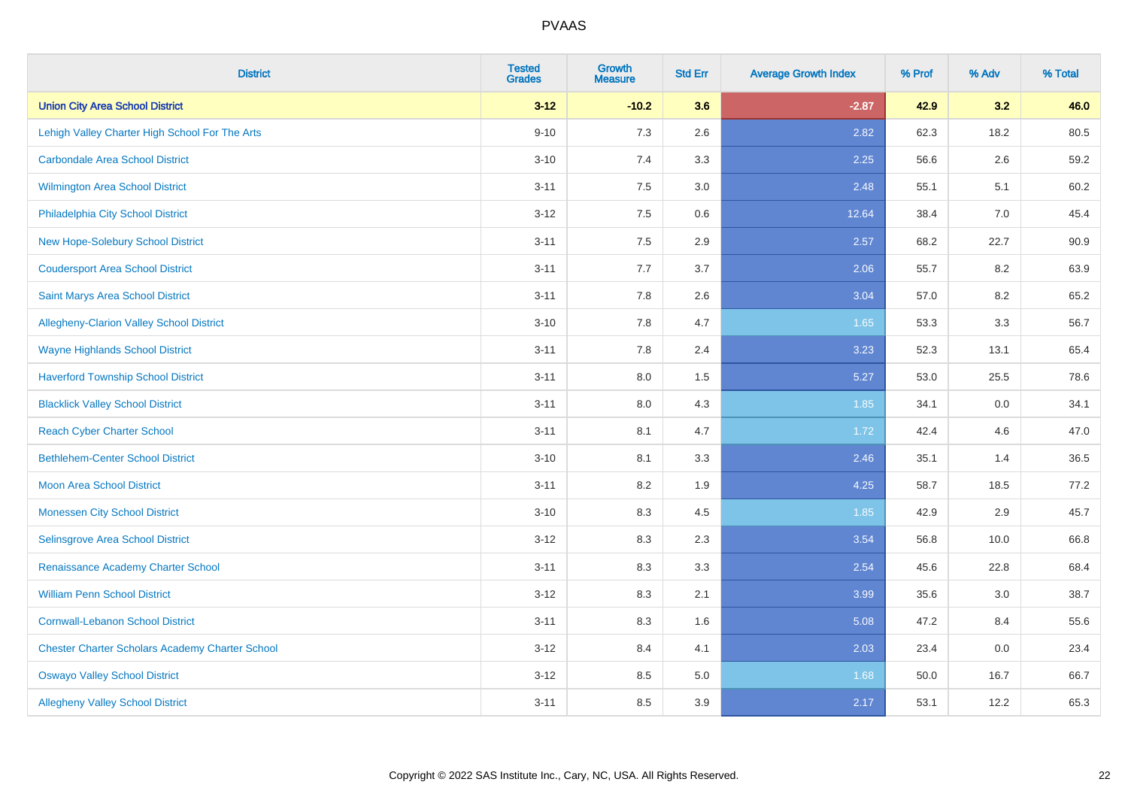| <b>District</b>                                        | <b>Tested</b><br><b>Grades</b> | <b>Growth</b><br><b>Measure</b> | <b>Std Err</b> | <b>Average Growth Index</b> | % Prof | % Adv | % Total |
|--------------------------------------------------------|--------------------------------|---------------------------------|----------------|-----------------------------|--------|-------|---------|
| <b>Union City Area School District</b>                 | $3 - 12$                       | $-10.2$                         | 3.6            | $-2.87$                     | 42.9   | 3.2   | 46.0    |
| Lehigh Valley Charter High School For The Arts         | $9 - 10$                       | 7.3                             | 2.6            | 2.82                        | 62.3   | 18.2  | 80.5    |
| <b>Carbondale Area School District</b>                 | $3 - 10$                       | 7.4                             | 3.3            | 2.25                        | 56.6   | 2.6   | 59.2    |
| <b>Wilmington Area School District</b>                 | $3 - 11$                       | 7.5                             | 3.0            | 2.48                        | 55.1   | 5.1   | 60.2    |
| Philadelphia City School District                      | $3 - 12$                       | 7.5                             | 0.6            | 12.64                       | 38.4   | 7.0   | 45.4    |
| New Hope-Solebury School District                      | $3 - 11$                       | 7.5                             | 2.9            | 2.57                        | 68.2   | 22.7  | 90.9    |
| <b>Coudersport Area School District</b>                | $3 - 11$                       | 7.7                             | 3.7            | 2.06                        | 55.7   | 8.2   | 63.9    |
| <b>Saint Marys Area School District</b>                | $3 - 11$                       | 7.8                             | 2.6            | 3.04                        | 57.0   | 8.2   | 65.2    |
| Allegheny-Clarion Valley School District               | $3 - 10$                       | 7.8                             | 4.7            | 1.65                        | 53.3   | 3.3   | 56.7    |
| <b>Wayne Highlands School District</b>                 | $3 - 11$                       | 7.8                             | 2.4            | 3.23                        | 52.3   | 13.1  | 65.4    |
| <b>Haverford Township School District</b>              | $3 - 11$                       | 8.0                             | 1.5            | 5.27                        | 53.0   | 25.5  | 78.6    |
| <b>Blacklick Valley School District</b>                | $3 - 11$                       | 8.0                             | 4.3            | 1.85                        | 34.1   | 0.0   | 34.1    |
| <b>Reach Cyber Charter School</b>                      | $3 - 11$                       | 8.1                             | 4.7            | 1.72                        | 42.4   | 4.6   | 47.0    |
| <b>Bethlehem-Center School District</b>                | $3 - 10$                       | 8.1                             | 3.3            | 2.46                        | 35.1   | 1.4   | 36.5    |
| <b>Moon Area School District</b>                       | $3 - 11$                       | 8.2                             | 1.9            | 4.25                        | 58.7   | 18.5  | 77.2    |
| <b>Monessen City School District</b>                   | $3 - 10$                       | 8.3                             | 4.5            | 1.85                        | 42.9   | 2.9   | 45.7    |
| Selinsgrove Area School District                       | $3 - 12$                       | 8.3                             | 2.3            | 3.54                        | 56.8   | 10.0  | 66.8    |
| Renaissance Academy Charter School                     | $3 - 11$                       | 8.3                             | 3.3            | 2.54                        | 45.6   | 22.8  | 68.4    |
| <b>William Penn School District</b>                    | $3-12$                         | 8.3                             | 2.1            | 3.99                        | 35.6   | 3.0   | 38.7    |
| <b>Cornwall-Lebanon School District</b>                | $3 - 11$                       | 8.3                             | 1.6            | 5.08                        | 47.2   | 8.4   | 55.6    |
| <b>Chester Charter Scholars Academy Charter School</b> | $3 - 12$                       | 8.4                             | 4.1            | 2.03                        | 23.4   | 0.0   | 23.4    |
| <b>Oswayo Valley School District</b>                   | $3-12$                         | 8.5                             | 5.0            | 1.68                        | 50.0   | 16.7  | 66.7    |
| <b>Allegheny Valley School District</b>                | $3 - 11$                       | 8.5                             | 3.9            | 2.17                        | 53.1   | 12.2  | 65.3    |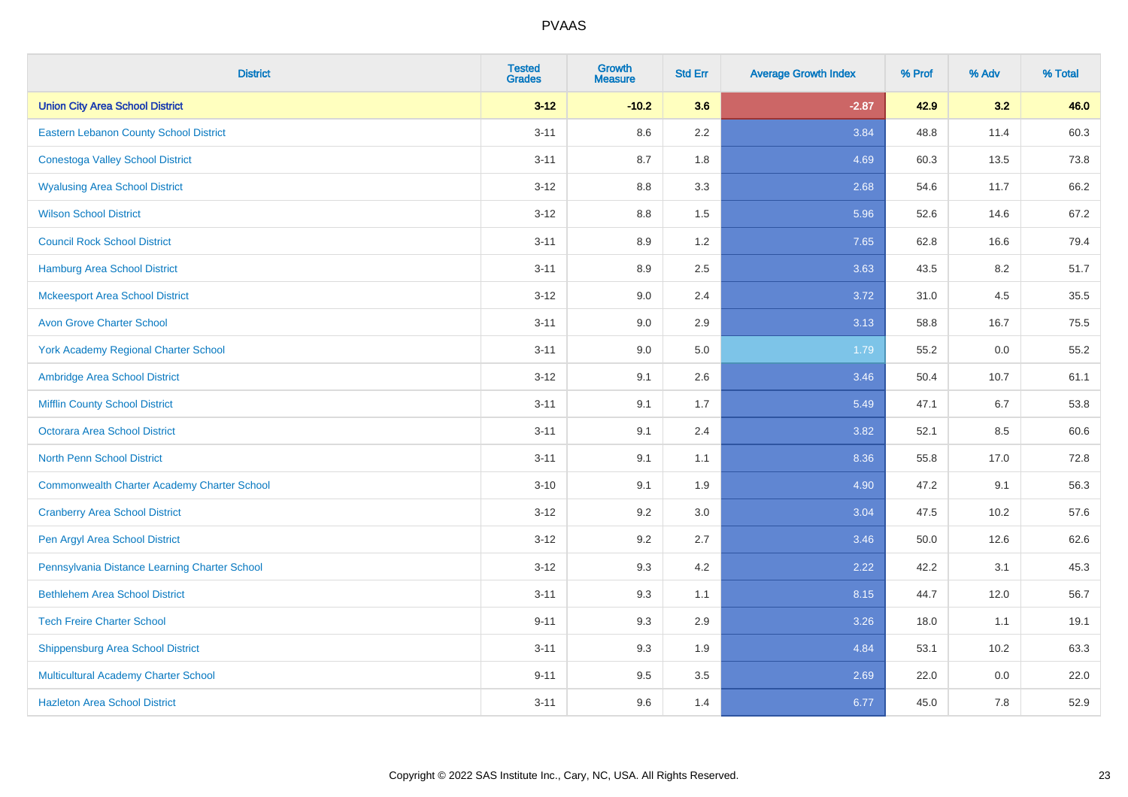| <b>District</b>                                    | <b>Tested</b><br><b>Grades</b> | <b>Growth</b><br><b>Measure</b> | <b>Std Err</b> | <b>Average Growth Index</b> | % Prof | % Adv | % Total |
|----------------------------------------------------|--------------------------------|---------------------------------|----------------|-----------------------------|--------|-------|---------|
| <b>Union City Area School District</b>             | $3 - 12$                       | $-10.2$                         | 3.6            | $-2.87$                     | 42.9   | 3.2   | 46.0    |
| Eastern Lebanon County School District             | $3 - 11$                       | 8.6                             | $2.2\,$        | 3.84                        | 48.8   | 11.4  | 60.3    |
| <b>Conestoga Valley School District</b>            | $3 - 11$                       | 8.7                             | 1.8            | 4.69                        | 60.3   | 13.5  | 73.8    |
| <b>Wyalusing Area School District</b>              | $3-12$                         | 8.8                             | 3.3            | 2.68                        | 54.6   | 11.7  | 66.2    |
| <b>Wilson School District</b>                      | $3 - 12$                       | 8.8                             | 1.5            | 5.96                        | 52.6   | 14.6  | 67.2    |
| <b>Council Rock School District</b>                | $3 - 11$                       | 8.9                             | 1.2            | 7.65                        | 62.8   | 16.6  | 79.4    |
| <b>Hamburg Area School District</b>                | $3 - 11$                       | 8.9                             | 2.5            | 3.63                        | 43.5   | 8.2   | 51.7    |
| <b>Mckeesport Area School District</b>             | $3 - 12$                       | 9.0                             | 2.4            | 3.72                        | 31.0   | 4.5   | 35.5    |
| <b>Avon Grove Charter School</b>                   | $3 - 11$                       | 9.0                             | 2.9            | 3.13                        | 58.8   | 16.7  | 75.5    |
| <b>York Academy Regional Charter School</b>        | $3 - 11$                       | 9.0                             | 5.0            | 1.79                        | 55.2   | 0.0   | 55.2    |
| Ambridge Area School District                      | $3 - 12$                       | 9.1                             | 2.6            | 3.46                        | 50.4   | 10.7  | 61.1    |
| <b>Mifflin County School District</b>              | $3 - 11$                       | 9.1                             | 1.7            | 5.49                        | 47.1   | 6.7   | 53.8    |
| <b>Octorara Area School District</b>               | $3 - 11$                       | 9.1                             | 2.4            | 3.82                        | 52.1   | 8.5   | 60.6    |
| <b>North Penn School District</b>                  | $3 - 11$                       | 9.1                             | 1.1            | 8.36                        | 55.8   | 17.0  | 72.8    |
| <b>Commonwealth Charter Academy Charter School</b> | $3 - 10$                       | 9.1                             | 1.9            | 4.90                        | 47.2   | 9.1   | 56.3    |
| <b>Cranberry Area School District</b>              | $3-12$                         | 9.2                             | 3.0            | 3.04                        | 47.5   | 10.2  | 57.6    |
| Pen Argyl Area School District                     | $3-12$                         | 9.2                             | 2.7            | 3.46                        | 50.0   | 12.6  | 62.6    |
| Pennsylvania Distance Learning Charter School      | $3 - 12$                       | 9.3                             | 4.2            | 2.22                        | 42.2   | 3.1   | 45.3    |
| <b>Bethlehem Area School District</b>              | $3 - 11$                       | 9.3                             | 1.1            | 8.15                        | 44.7   | 12.0  | 56.7    |
| <b>Tech Freire Charter School</b>                  | $9 - 11$                       | 9.3                             | 2.9            | 3.26                        | 18.0   | 1.1   | 19.1    |
| <b>Shippensburg Area School District</b>           | $3 - 11$                       | 9.3                             | 1.9            | 4.84                        | 53.1   | 10.2  | 63.3    |
| Multicultural Academy Charter School               | $9 - 11$                       | 9.5                             | 3.5            | 2.69                        | 22.0   | 0.0   | 22.0    |
| <b>Hazleton Area School District</b>               | $3 - 11$                       | 9.6                             | 1.4            | 6.77                        | 45.0   | 7.8   | 52.9    |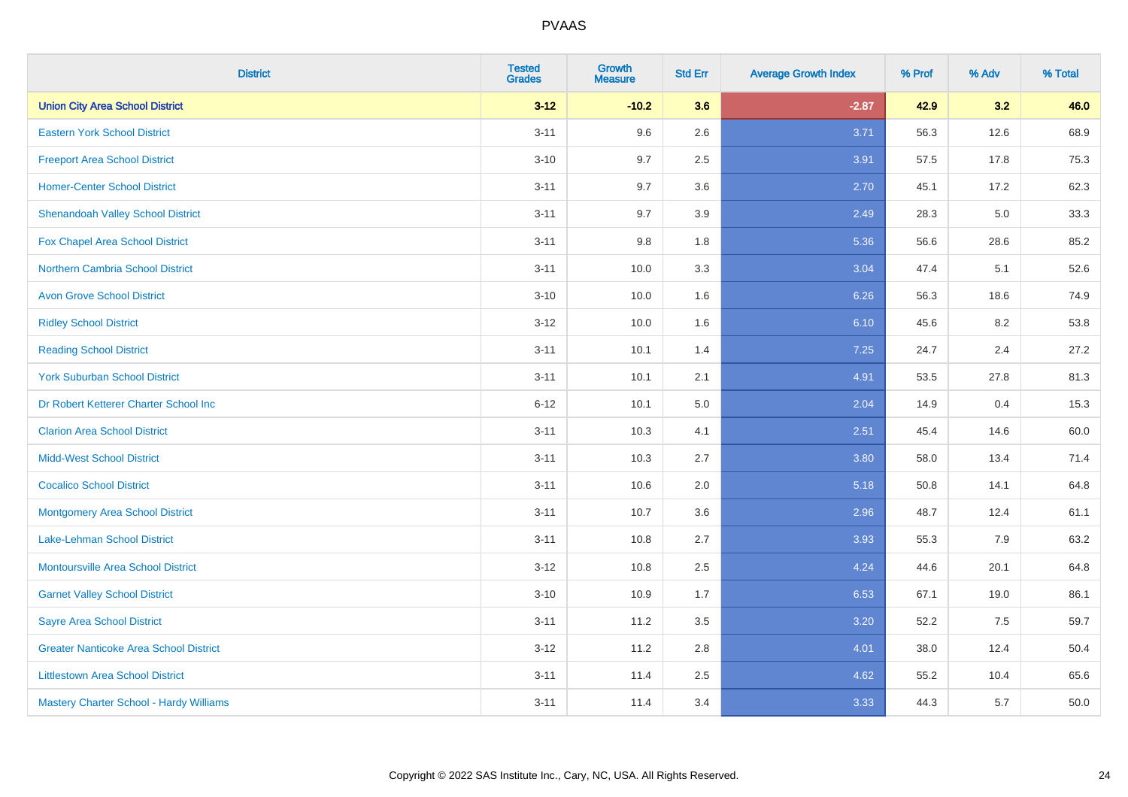| <b>District</b>                               | <b>Tested</b><br><b>Grades</b> | <b>Growth</b><br><b>Measure</b> | <b>Std Err</b> | <b>Average Growth Index</b> | % Prof | % Adv | % Total |
|-----------------------------------------------|--------------------------------|---------------------------------|----------------|-----------------------------|--------|-------|---------|
| <b>Union City Area School District</b>        | $3 - 12$                       | $-10.2$                         | 3.6            | $-2.87$                     | 42.9   | 3.2   | 46.0    |
| <b>Eastern York School District</b>           | $3 - 11$                       | 9.6                             | 2.6            | 3.71                        | 56.3   | 12.6  | 68.9    |
| <b>Freeport Area School District</b>          | $3 - 10$                       | 9.7                             | 2.5            | 3.91                        | 57.5   | 17.8  | 75.3    |
| <b>Homer-Center School District</b>           | $3 - 11$                       | 9.7                             | 3.6            | 2.70                        | 45.1   | 17.2  | 62.3    |
| <b>Shenandoah Valley School District</b>      | $3 - 11$                       | 9.7                             | 3.9            | 2.49                        | 28.3   | 5.0   | 33.3    |
| <b>Fox Chapel Area School District</b>        | $3 - 11$                       | 9.8                             | 1.8            | 5.36                        | 56.6   | 28.6  | 85.2    |
| <b>Northern Cambria School District</b>       | $3 - 11$                       | 10.0                            | 3.3            | 3.04                        | 47.4   | 5.1   | 52.6    |
| <b>Avon Grove School District</b>             | $3 - 10$                       | 10.0                            | 1.6            | 6.26                        | 56.3   | 18.6  | 74.9    |
| <b>Ridley School District</b>                 | $3 - 12$                       | 10.0                            | 1.6            | 6.10                        | 45.6   | 8.2   | 53.8    |
| <b>Reading School District</b>                | $3 - 11$                       | 10.1                            | 1.4            | 7.25                        | 24.7   | 2.4   | 27.2    |
| <b>York Suburban School District</b>          | $3 - 11$                       | 10.1                            | 2.1            | 4.91                        | 53.5   | 27.8  | 81.3    |
| Dr Robert Ketterer Charter School Inc         | $6 - 12$                       | 10.1                            | 5.0            | 2.04                        | 14.9   | 0.4   | 15.3    |
| <b>Clarion Area School District</b>           | $3 - 11$                       | 10.3                            | 4.1            | 2.51                        | 45.4   | 14.6  | 60.0    |
| <b>Midd-West School District</b>              | $3 - 11$                       | 10.3                            | 2.7            | 3.80                        | 58.0   | 13.4  | 71.4    |
| <b>Cocalico School District</b>               | $3 - 11$                       | 10.6                            | 2.0            | 5.18                        | 50.8   | 14.1  | 64.8    |
| <b>Montgomery Area School District</b>        | $3 - 11$                       | 10.7                            | 3.6            | 2.96                        | 48.7   | 12.4  | 61.1    |
| Lake-Lehman School District                   | $3 - 11$                       | 10.8                            | 2.7            | 3.93                        | 55.3   | 7.9   | 63.2    |
| <b>Montoursville Area School District</b>     | $3 - 12$                       | 10.8                            | 2.5            | 4.24                        | 44.6   | 20.1  | 64.8    |
| <b>Garnet Valley School District</b>          | $3 - 10$                       | 10.9                            | 1.7            | 6.53                        | 67.1   | 19.0  | 86.1    |
| <b>Sayre Area School District</b>             | $3 - 11$                       | 11.2                            | 3.5            | 3.20                        | 52.2   | 7.5   | 59.7    |
| <b>Greater Nanticoke Area School District</b> | $3-12$                         | 11.2                            | 2.8            | 4.01                        | 38.0   | 12.4  | 50.4    |
| <b>Littlestown Area School District</b>       | $3 - 11$                       | 11.4                            | 2.5            | 4.62                        | 55.2   | 10.4  | 65.6    |
| Mastery Charter School - Hardy Williams       | $3 - 11$                       | 11.4                            | 3.4            | 3.33                        | 44.3   | 5.7   | 50.0    |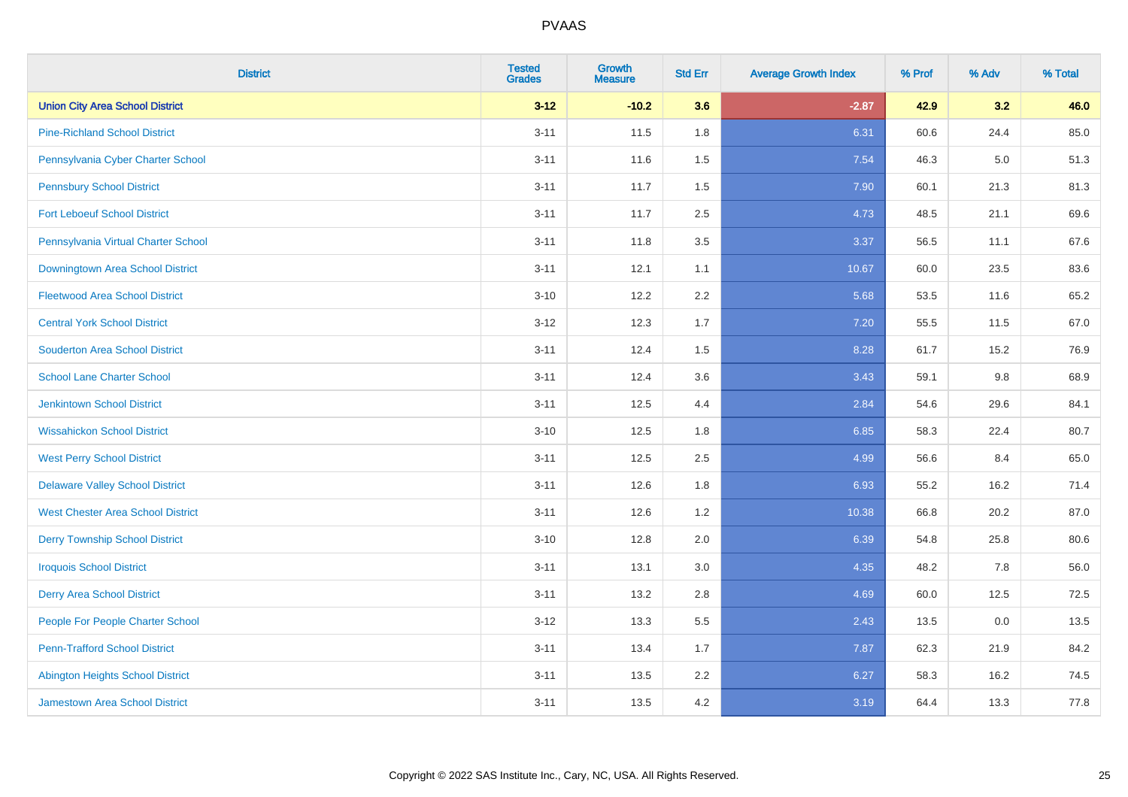| <b>District</b>                          | <b>Tested</b><br><b>Grades</b> | <b>Growth</b><br><b>Measure</b> | <b>Std Err</b> | <b>Average Growth Index</b> | % Prof | % Adv | % Total |
|------------------------------------------|--------------------------------|---------------------------------|----------------|-----------------------------|--------|-------|---------|
| <b>Union City Area School District</b>   | $3 - 12$                       | $-10.2$                         | 3.6            | $-2.87$                     | 42.9   | 3.2   | 46.0    |
| <b>Pine-Richland School District</b>     | $3 - 11$                       | 11.5                            | 1.8            | 6.31                        | 60.6   | 24.4  | 85.0    |
| Pennsylvania Cyber Charter School        | $3 - 11$                       | 11.6                            | 1.5            | 7.54                        | 46.3   | 5.0   | 51.3    |
| <b>Pennsbury School District</b>         | $3 - 11$                       | 11.7                            | 1.5            | 7.90                        | 60.1   | 21.3  | 81.3    |
| <b>Fort Leboeuf School District</b>      | $3 - 11$                       | 11.7                            | 2.5            | 4.73                        | 48.5   | 21.1  | 69.6    |
| Pennsylvania Virtual Charter School      | $3 - 11$                       | 11.8                            | 3.5            | 3.37                        | 56.5   | 11.1  | 67.6    |
| Downingtown Area School District         | $3 - 11$                       | 12.1                            | 1.1            | 10.67                       | 60.0   | 23.5  | 83.6    |
| <b>Fleetwood Area School District</b>    | $3 - 10$                       | 12.2                            | 2.2            | 5.68                        | 53.5   | 11.6  | 65.2    |
| <b>Central York School District</b>      | $3-12$                         | 12.3                            | 1.7            | 7.20                        | 55.5   | 11.5  | 67.0    |
| <b>Souderton Area School District</b>    | $3 - 11$                       | 12.4                            | 1.5            | 8.28                        | 61.7   | 15.2  | 76.9    |
| <b>School Lane Charter School</b>        | $3 - 11$                       | 12.4                            | 3.6            | 3.43                        | 59.1   | 9.8   | 68.9    |
| <b>Jenkintown School District</b>        | $3 - 11$                       | 12.5                            | 4.4            | 2.84                        | 54.6   | 29.6  | 84.1    |
| <b>Wissahickon School District</b>       | $3 - 10$                       | 12.5                            | 1.8            | 6.85                        | 58.3   | 22.4  | 80.7    |
| <b>West Perry School District</b>        | $3 - 11$                       | 12.5                            | 2.5            | 4.99                        | 56.6   | 8.4   | 65.0    |
| <b>Delaware Valley School District</b>   | $3 - 11$                       | 12.6                            | 1.8            | 6.93                        | 55.2   | 16.2  | 71.4    |
| <b>West Chester Area School District</b> | $3 - 11$                       | 12.6                            | 1.2            | 10.38                       | 66.8   | 20.2  | 87.0    |
| <b>Derry Township School District</b>    | $3 - 10$                       | 12.8                            | 2.0            | 6.39                        | 54.8   | 25.8  | 80.6    |
| <b>Iroquois School District</b>          | $3 - 11$                       | 13.1                            | 3.0            | 4.35                        | 48.2   | 7.8   | 56.0    |
| <b>Derry Area School District</b>        | $3 - 11$                       | 13.2                            | 2.8            | 4.69                        | 60.0   | 12.5  | 72.5    |
| People For People Charter School         | $3-12$                         | 13.3                            | 5.5            | 2.43                        | 13.5   | 0.0   | 13.5    |
| <b>Penn-Trafford School District</b>     | $3 - 11$                       | 13.4                            | 1.7            | 7.87                        | 62.3   | 21.9  | 84.2    |
| <b>Abington Heights School District</b>  | $3 - 11$                       | 13.5                            | 2.2            | 6.27                        | 58.3   | 16.2  | 74.5    |
| <b>Jamestown Area School District</b>    | $3 - 11$                       | 13.5                            | 4.2            | 3.19                        | 64.4   | 13.3  | 77.8    |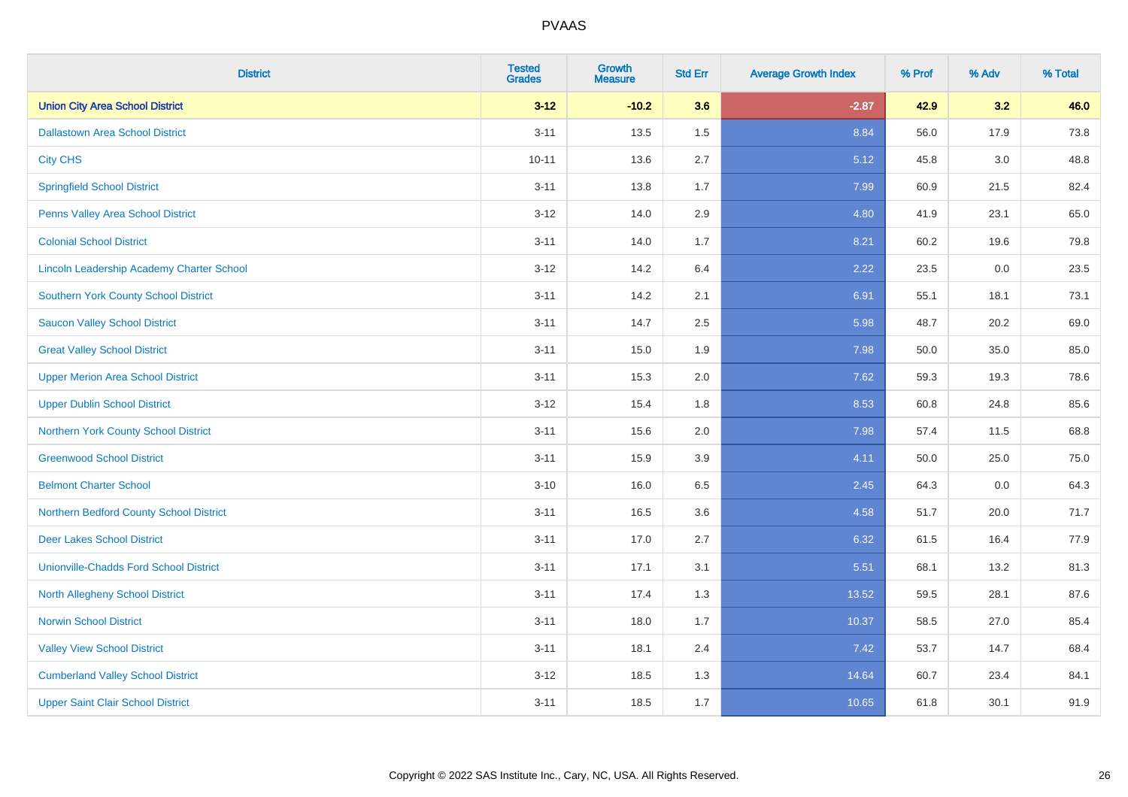| <b>District</b>                               | <b>Tested</b><br><b>Grades</b> | Growth<br><b>Measure</b> | <b>Std Err</b> | <b>Average Growth Index</b> | % Prof | % Adv | % Total |
|-----------------------------------------------|--------------------------------|--------------------------|----------------|-----------------------------|--------|-------|---------|
| <b>Union City Area School District</b>        | $3 - 12$                       | $-10.2$                  | 3.6            | $-2.87$                     | 42.9   | 3.2   | 46.0    |
| <b>Dallastown Area School District</b>        | $3 - 11$                       | 13.5                     | 1.5            | 8.84                        | 56.0   | 17.9  | 73.8    |
| <b>City CHS</b>                               | $10 - 11$                      | 13.6                     | 2.7            | 5.12                        | 45.8   | 3.0   | 48.8    |
| <b>Springfield School District</b>            | $3 - 11$                       | 13.8                     | 1.7            | 7.99                        | 60.9   | 21.5  | 82.4    |
| Penns Valley Area School District             | $3 - 12$                       | 14.0                     | 2.9            | 4.80                        | 41.9   | 23.1  | 65.0    |
| <b>Colonial School District</b>               | $3 - 11$                       | 14.0                     | 1.7            | 8.21                        | 60.2   | 19.6  | 79.8    |
| Lincoln Leadership Academy Charter School     | $3 - 12$                       | 14.2                     | 6.4            | 2.22                        | 23.5   | 0.0   | 23.5    |
| <b>Southern York County School District</b>   | $3 - 11$                       | 14.2                     | 2.1            | 6.91                        | 55.1   | 18.1  | 73.1    |
| <b>Saucon Valley School District</b>          | $3 - 11$                       | 14.7                     | 2.5            | 5.98                        | 48.7   | 20.2  | 69.0    |
| <b>Great Valley School District</b>           | $3 - 11$                       | 15.0                     | 1.9            | 7.98                        | 50.0   | 35.0  | 85.0    |
| <b>Upper Merion Area School District</b>      | $3 - 11$                       | 15.3                     | 2.0            | 7.62                        | 59.3   | 19.3  | 78.6    |
| <b>Upper Dublin School District</b>           | $3 - 12$                       | 15.4                     | 1.8            | 8.53                        | 60.8   | 24.8  | 85.6    |
| <b>Northern York County School District</b>   | $3 - 11$                       | 15.6                     | 2.0            | 7.98                        | 57.4   | 11.5  | 68.8    |
| <b>Greenwood School District</b>              | $3 - 11$                       | 15.9                     | 3.9            | 4.11                        | 50.0   | 25.0  | 75.0    |
| <b>Belmont Charter School</b>                 | $3 - 10$                       | 16.0                     | 6.5            | 2.45                        | 64.3   | 0.0   | 64.3    |
| Northern Bedford County School District       | $3 - 11$                       | 16.5                     | 3.6            | 4.58                        | 51.7   | 20.0  | 71.7    |
| <b>Deer Lakes School District</b>             | $3 - 11$                       | 17.0                     | 2.7            | 6.32                        | 61.5   | 16.4  | 77.9    |
| <b>Unionville-Chadds Ford School District</b> | $3 - 11$                       | 17.1                     | 3.1            | 5.51                        | 68.1   | 13.2  | 81.3    |
| <b>North Allegheny School District</b>        | $3 - 11$                       | 17.4                     | 1.3            | 13.52                       | 59.5   | 28.1  | 87.6    |
| <b>Norwin School District</b>                 | $3 - 11$                       | 18.0                     | 1.7            | 10.37                       | 58.5   | 27.0  | 85.4    |
| <b>Valley View School District</b>            | $3 - 11$                       | 18.1                     | 2.4            | 7.42                        | 53.7   | 14.7  | 68.4    |
| <b>Cumberland Valley School District</b>      | $3 - 12$                       | 18.5                     | 1.3            | 14.64                       | 60.7   | 23.4  | 84.1    |
| <b>Upper Saint Clair School District</b>      | $3 - 11$                       | 18.5                     | 1.7            | 10.65                       | 61.8   | 30.1  | 91.9    |